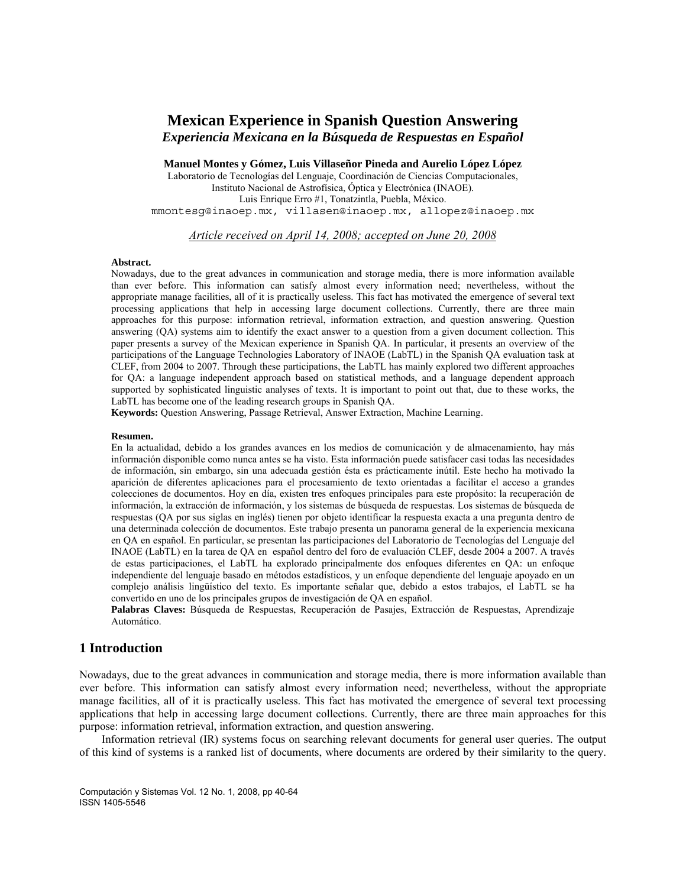# **Mexican Experience in Spanish Question Answering** *Experiencia Mexicana en la Búsqueda de Respuestas en Español*

**Manuel Montes y Gómez, Luis Villaseñor Pineda and Aurelio López López** 

Laboratorio de Tecnologías del Lenguaje, Coordinación de Ciencias Computacionales, Instituto Nacional de Astrofísica, Óptica y Electrónica (INAOE). Luis Enrique Erro #1, Tonatzintla, Puebla, México. mmontesg@inaoep.mx, villasen@inaoep.mx, allopez@inaoep.mx

*Article received on April 14, 2008; accepted on June 20, 2008*

#### **Abstract.**

Nowadays, due to the great advances in communication and storage media, there is more information available than ever before. This information can satisfy almost every information need; nevertheless, without the appropriate manage facilities, all of it is practically useless. This fact has motivated the emergence of several text processing applications that help in accessing large document collections. Currently, there are three main approaches for this purpose: information retrieval, information extraction, and question answering. Question answering (QA) systems aim to identify the exact answer to a question from a given document collection. This paper presents a survey of the Mexican experience in Spanish QA. In particular, it presents an overview of the participations of the Language Technologies Laboratory of INAOE (LabTL) in the Spanish QA evaluation task at CLEF, from 2004 to 2007. Through these participations, the LabTL has mainly explored two different approaches for QA: a language independent approach based on statistical methods, and a language dependent approach supported by sophisticated linguistic analyses of texts. It is important to point out that, due to these works, the LabTL has become one of the leading research groups in Spanish QA.

**Keywords:** Question Answering, Passage Retrieval, Answer Extraction, Machine Learning.

### **Resumen.**

En la actualidad, debido a los grandes avances en los medios de comunicación y de almacenamiento, hay más información disponible como nunca antes se ha visto. Esta información puede satisfacer casi todas las necesidades de información, sin embargo, sin una adecuada gestión ésta es prácticamente inútil. Este hecho ha motivado la aparición de diferentes aplicaciones para el procesamiento de texto orientadas a facilitar el acceso a grandes colecciones de documentos. Hoy en día, existen tres enfoques principales para este propósito: la recuperación de información, la extracción de información, y los sistemas de búsqueda de respuestas. Los sistemas de búsqueda de respuestas (QA por sus siglas en inglés) tienen por objeto identificar la respuesta exacta a una pregunta dentro de una determinada colección de documentos. Este trabajo presenta un panorama general de la experiencia mexicana en QA en español. En particular, se presentan las participaciones del Laboratorio de Tecnologías del Lenguaje del INAOE (LabTL) en la tarea de QA en español dentro del foro de evaluación CLEF, desde 2004 a 2007. A través de estas participaciones, el LabTL ha explorado principalmente dos enfoques diferentes en QA: un enfoque independiente del lenguaje basado en métodos estadísticos, y un enfoque dependiente del lenguaje apoyado en un complejo análisis lingüístico del texto. Es importante señalar que, debido a estos trabajos, el LabTL se ha convertido en uno de los principales grupos de investigación de QA en español.

**Palabras Claves:** Búsqueda de Respuestas, Recuperación de Pasajes, Extracción de Respuestas, Aprendizaje Automático.

## **1 Introduction**

Nowadays, due to the great advances in communication and storage media, there is more information available than ever before. This information can satisfy almost every information need; nevertheless, without the appropriate manage facilities, all of it is practically useless. This fact has motivated the emergence of several text processing applications that help in accessing large document collections. Currently, there are three main approaches for this purpose: information retrieval, information extraction, and question answering.

Information retrieval (IR) systems focus on searching relevant documents for general user queries. The output of this kind of systems is a ranked list of documents, where documents are ordered by their similarity to the query.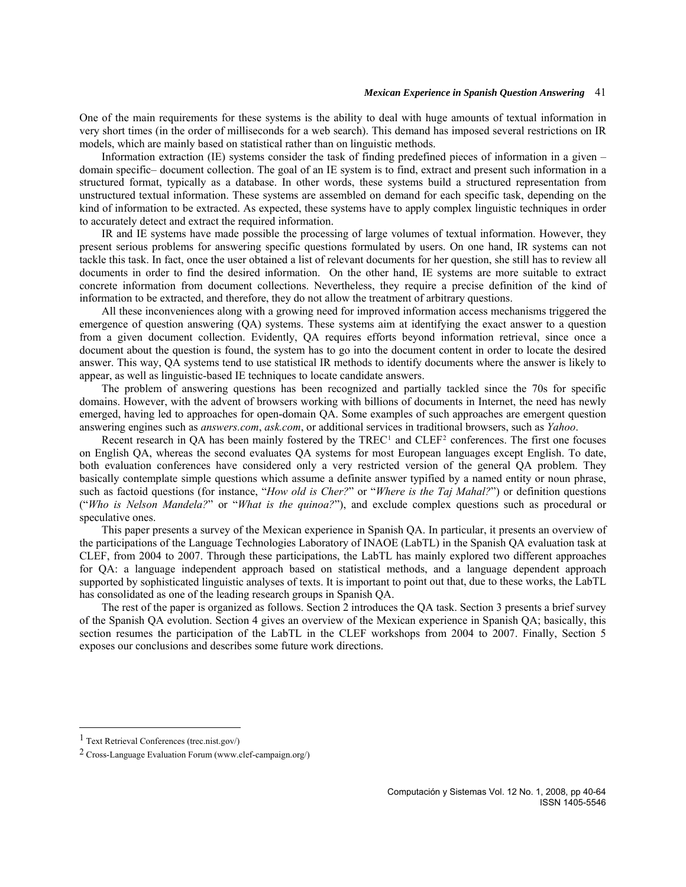One of the main requirements for these systems is the ability to deal with huge amounts of textual information in very short times (in the order of milliseconds for a web search). This demand has imposed several restrictions on IR models, which are mainly based on statistical rather than on linguistic methods.

Information extraction (IE) systems consider the task of finding predefined pieces of information in a given – domain specific– document collection. The goal of an IE system is to find, extract and present such information in a structured format, typically as a database. In other words, these systems build a structured representation from unstructured textual information. These systems are assembled on demand for each specific task, depending on the kind of information to be extracted. As expected, these systems have to apply complex linguistic techniques in order to accurately detect and extract the required information.

IR and IE systems have made possible the processing of large volumes of textual information. However, they present serious problems for answering specific questions formulated by users. On one hand, IR systems can not tackle this task. In fact, once the user obtained a list of relevant documents for her question, she still has to review all documents in order to find the desired information. On the other hand, IE systems are more suitable to extract concrete information from document collections. Nevertheless, they require a precise definition of the kind of information to be extracted, and therefore, they do not allow the treatment of arbitrary questions.

All these inconveniences along with a growing need for improved information access mechanisms triggered the emergence of question answering (QA) systems. These systems aim at identifying the exact answer to a question from a given document collection. Evidently, QA requires efforts beyond information retrieval, since once a document about the question is found, the system has to go into the document content in order to locate the desired answer. This way, QA systems tend to use statistical IR methods to identify documents where the answer is likely to appear, as well as linguistic-based IE techniques to locate candidate answers.

The problem of answering questions has been recognized and partially tackled since the 70s for specific domains. However, with the advent of browsers working with billions of documents in Internet, the need has newly emerged, having led to approaches for open-domain QA. Some examples of such approaches are emergent question answering engines such as *answers.com*, *ask.com*, or additional services in traditional browsers, such as *Yahoo*.

Recent research in QA has been mainly fostered by the  $TREC<sup>1</sup>$  $TREC<sup>1</sup>$  $TREC<sup>1</sup>$  and  $CLEF<sup>2</sup>$  conferences. The first one focuses spec ulative ones. [on English QA, whereas the second evaluates QA systems for most European languages except English. To date,](#page-1-1)  [both evaluation conferences have considered only a very restricted version of the general QA problem. They](#page-1-1)  [basically contemplate simple questions which assume a definite answer typified by a named entity or noun phrase,](#page-1-1)  [such as factoid questions \(for instance, "](#page-1-1)*How old is Cher?*" or "*Where is the Taj Mahal?*") or definition questions ("*Who is Nelson Mandela?*" or "*What is the quinoa?*["\), and exclude complex questions such as procedural or](#page-1-1) 

supported by sophisticated linguistic analyses of texts. It is important to point out that, due to these works, the LabTL has c onsolidated as one of the leading research groups in Spanish QA. This paper presents a survey of the Mexican experience in Spanish QA. In particular, it presents an overview of the participations of the Language Technologies Laboratory of INAOE (LabTL) in the Spanish QA evaluation task at CLEF, from 2004 to 2007. Through these participations, the LabTL has mainly explored two different approaches for QA: a language independent approach based on statistical methods, and a language dependent approach

section resumes the participation of the LabTL in the CLEF workshops from 2004 to 2007. Finally, Section 5 xposes our conclusions and describes some future work directions. e The rest of the paper is organized as follows. Section 2 introduces the QA task. Section 3 presents a brief survey of the Spanish QA evolution. Section 4 gives an overview of the Mexican experience in Spanish QA; basically, this

 $\overline{a}$ 

<span id="page-1-0"></span><sup>1</sup> Text Retrieval Conferences (trec.nist.gov/)

<span id="page-1-1"></span><sup>2</sup> Cross-Language Evaluation Forum (www.clef-campaign.org/)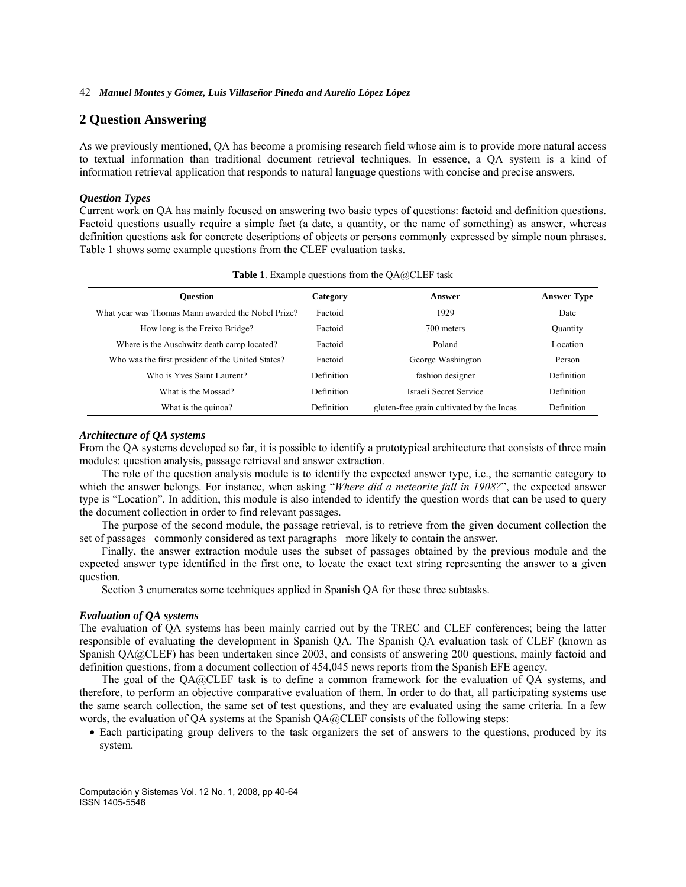# **2 Question Answering**

As we previously mentioned, QA has become a promising research field whose aim is to provide more natural access to textual information than traditional document retrieval techniques. In essence, a QA system is a kind of information retrieval application that responds to natural language questions with concise and precise answers.

### *Question Types*

Current work on QA has mainly focused on answering two basic types of questions: factoid and definition questions. Factoid questions usually require a simple fact (a date, a quantity, or the name of something) as answer, whereas definition questions ask for concrete descriptions of objects or persons commonly expressed by simple noun phrases. Table 1 shows some example questions from the CLEF evaluation tasks.

| <b>Ouestion</b>                                    | Category          | Answer                                    | <b>Answer Type</b> |
|----------------------------------------------------|-------------------|-------------------------------------------|--------------------|
| What year was Thomas Mann awarded the Nobel Prize? | Factoid           | 1929                                      | Date               |
| How long is the Freixo Bridge?                     | Factoid           | 700 meters                                | Quantity           |
| Where is the Auschwitz death camp located?         | Factoid           | Poland                                    | Location           |
| Who was the first president of the United States?  | Factoid           | George Washington                         | Person             |
| Who is Yves Saint Laurent?                         | <b>Definition</b> | fashion designer                          | Definition         |
| What is the Mossad?                                | <b>Definition</b> | Israeli Secret Service                    | Definition         |
| What is the quinoa?                                | <b>Definition</b> | gluten-free grain cultivated by the Incas | Definition         |

|  |  |  |  |  | Table 1. Example questions from the QA@CLEF task |  |
|--|--|--|--|--|--------------------------------------------------|--|
|--|--|--|--|--|--------------------------------------------------|--|

#### *Architecture of QA systems*

From the QA systems developed so far, it is possible to identify a prototypical architecture that consists of three main modules: question analysis, passage retrieval and answer extraction.

The role of the question analysis module is to identify the expected answer type, i.e., the semantic category to which the answer belongs. For instance, when asking "*Where did a meteorite fall in 1908?*", the expected answer type is "Location". In addition, this module is also intended to identify the question words that can be used to query the document collection in order to find relevant passages.

The purpose of the second module, the passage retrieval, is to retrieve from the given document collection the set of passages –commonly considered as text paragraphs– more likely to contain the answer.

Finally, the answer extraction module uses the subset of passages obtained by the previous module and the expected answer type identified in the first one, to locate the exact text string representing the answer to a given question.

Section 3 enumerates some techniques applied in Spanish QA for these three subtasks.

### *Evaluation of QA systems*

The evaluation of QA systems has been mainly carried out by the TREC and CLEF conferences; being the latter responsible of evaluating the development in Spanish QA. The Spanish QA evaluation task of CLEF (known as Spanish QA@CLEF) has been undertaken since 2003, and consists of answering 200 questions, mainly factoid and definition questions, from a document collection of 454,045 news reports from the Spanish EFE agency.

The goal of the QA@CLEF task is to define a common framework for the evaluation of QA systems, and therefore, to perform an objective comparative evaluation of them. In order to do that, all participating systems use the same search collection, the same set of test questions, and they are evaluated using the same criteria. In a few words, the evaluation of QA systems at the Spanish QA@CLEF consists of the following steps:

• Each participating group delivers to the task organizers the set of answers to the questions, produced by its system.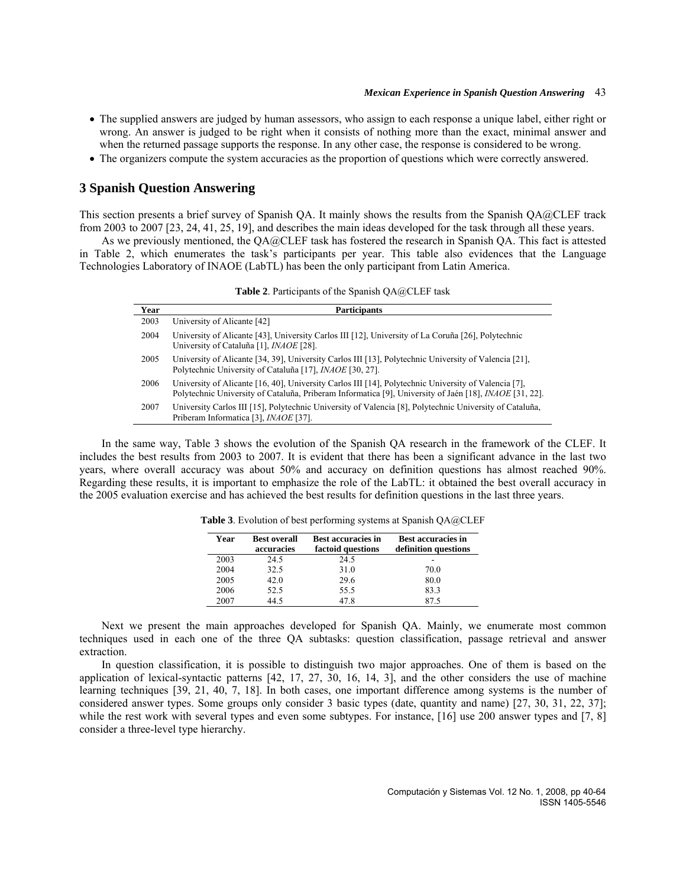- The supplied answers are judged by human assessors, who assign to each response a unique label, either right or wrong. An answer is judged to be right when it consists of nothing more than the exact, minimal answer and when the returned passage supports the response. In any other case, the response is considered to be wrong.
- The organizers compute the system accuracies as the proportion of questions which were correctly answered.

# **3 Spanish Question Answering**

This section presents a brief survey of Spanish QA. It mainly shows the results from the Spanish QA@CLEF track from 2003 to 2007 [23, 24, 41, 25, 19], and describes the main ideas developed for the task through all these years.

As we previously mentioned, the QA@CLEF task has fostered the research in Spanish QA. This fact is attested in Table 2, which enumerates the task's participants per year. This table also evidences that the Language Technologies Laboratory of INAOE (LabTL) has been the only participant from Latin America.

**Table 2**. Participants of the Spanish QA@CLEF task

| Year | <b>Participants</b>                                                                                                                                                                                                   |
|------|-----------------------------------------------------------------------------------------------------------------------------------------------------------------------------------------------------------------------|
| 2003 | University of Alicante [42]                                                                                                                                                                                           |
| 2004 | University of Alicante [43], University Carlos III [12], University of La Coruña [26], Polytechnic<br>University of Cataluña [1], <i>INAOE</i> [28].                                                                  |
| 2005 | University of Alicante [34, 39], University Carlos III [13], Polytechnic University of Valencia [21],<br>Polytechnic University of Cataluña [17], <i>INAOE</i> [30, 27].                                              |
| 2006 | University of Alicante [16, 40], University Carlos III [14], Polytechnic University of Valencia [7],<br>Polytechnic University of Cataluña, Priberam Informatica [9], University of Jaén [18], <i>INAOE</i> [31, 22]. |
| 2007 | University Carlos III [15], Polytechnic University of Valencia [8], Polytechnic University of Cataluña,<br>Priberam Informatica [3], <i>INAOE</i> [37].                                                               |

In the same way, Table 3 shows the evolution of the Spanish QA research in the framework of the CLEF. It includes the best results from 2003 to 2007. It is evident that there has been a significant advance in the last two years, where overall accuracy was about 50% and accuracy on definition questions has almost reached 90%. Regarding these results, it is important to emphasize the role of the LabTL: it obtained the best overall accuracy in the 2005 evaluation exercise and has achieved the best results for definition questions in the last three years.

| Year | <b>Best overall</b><br>accuracies | <b>Best accuracies in</b><br>factoid questions | <b>Best accuracies in</b><br>definition questions |
|------|-----------------------------------|------------------------------------------------|---------------------------------------------------|
| 2003 | 24.5                              | 24.5                                           |                                                   |
| 2004 | 32.5                              | 31.0                                           | 70.0                                              |
| 2005 | 42.0                              | 29.6                                           | 80.0                                              |
| 2006 | 52.5                              | 55.5                                           | 83.3                                              |
| 2007 | 44.5                              | 47.8                                           |                                                   |

**Table 3**. Evolution of best performing systems at Spanish QA@CLEF

Next we present the main approaches developed for Spanish QA. Mainly, we enumerate most common techniques used in each one of the three QA subtasks: question classification, passage retrieval and answer extraction.

In question classification, it is possible to distinguish two major approaches. One of them is based on the application of lexical-syntactic patterns [42, 17, 27, 30, 16, 14, 3], and the other considers the use of machine learning techniques [39, 21, 40, 7, 18]. In both cases, one important difference among systems is the number of considered answer types. Some groups only consider 3 basic types (date, quantity and name) [27, 30, 31, 22, 37]; while the rest work with several types and even some subtypes. For instance, [16] use 200 answer types and [7, 8] consider a three-level type hierarchy.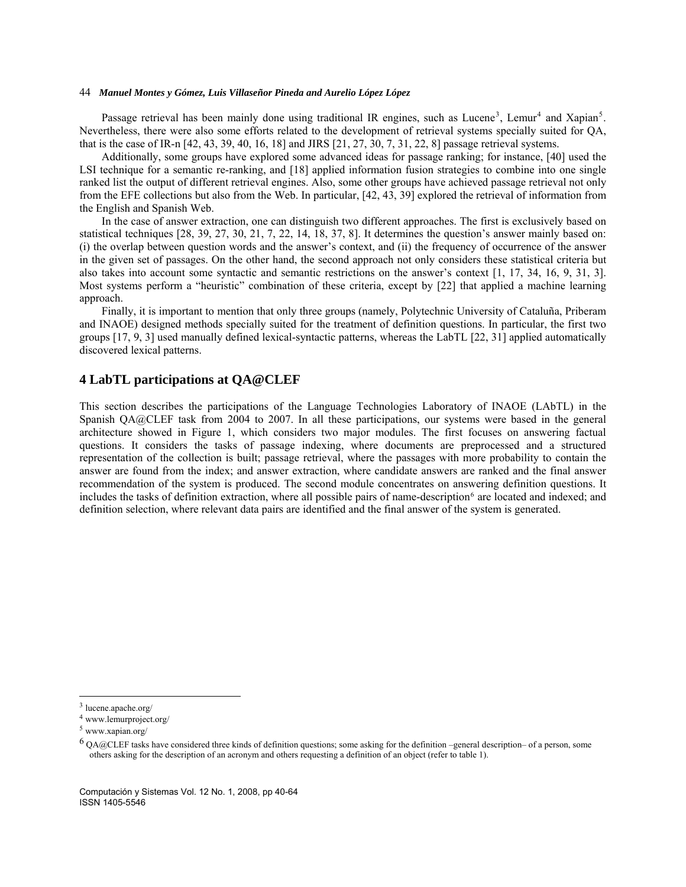Passage retrieval has been mainly done using traditional IR engines, such as Lucene<sup>[3](#page-4-0)</sup>, Lemur<sup>[4](#page-4-1)</sup> and Xapian<sup>[5](#page-4-2)</sup>. Nevertheless, there were also some efforts related to the development of retrieval systems specially suited for QA, that is the case of IR-n [42, 43, 39, 40, 16, 18] and JIRS [21, 27, 30, 7, 31, 22, 8] passage retrieval systems.

Additionally, some groups have explored some advanced ideas for passage ranking; for instance, [40] used the LSI technique for a semantic re-ranking, and [18] applied information fusion strategies to combine into one single ranked list the output of different retrieval engines. Also, some other groups have achieved passage retrieval not only from the EFE collections but also from the Web. In particular, [42, 43, 39] explored the retrieval of information from the English and Spanish Web.

In the case of answer extraction, one can distinguish two different approaches. The first is exclusively based on statistical techniques [28, 39, 27, 30, 21, 7, 22, 14, 18, 37, 8]. It determines the question's answer mainly based on: (i) the overlap between question words and the answer's context, and (ii) the frequency of occurrence of the answer in the given set of passages. On the other hand, the second approach not only considers these statistical criteria but also takes into account some syntactic and semantic restrictions on the answer's context [1, 17, 34, 16, 9, 31, 3]. Most systems perform a "heuristic" combination of these criteria, except by [22] that applied a machine learning approach.

Finally, it is important to mention that only three groups (namely, Polytechnic University of Cataluña, Priberam and INAOE) designed methods specially suited for the treatment of definition questions. In particular, the first two groups [17, 9, 3] used manually defined lexical-syntactic patterns, whereas the LabTL [22, 31] applied automatically discovered lexical patterns.

# **4 LabTL participations at QA@CLEF**

This section describes the participations of the Language Technologies Laboratory of INAOE (LAbTL) in the Spanish QA@CLEF task from 2004 to 2007. In all these participations, our systems were based in the general architecture showed in Figure 1, which considers two major modules. The first focuses on answering factual questions. It considers the tasks of passage indexing, where documents are preprocessed and a structured representation of the collection is built; passage retrieval, where the passages with more probability to contain the answer are found from the index; and answer extraction, where candidate answers are ranked and the final answer recommendation of the system is produced. The second module concentrates on answering definition questions. It includes the tasks of definition extraction, where all possible pairs of name-description<sup>[6](#page-4-3)</sup> are located and indexed; and definition selection, where relevant data pairs are identified and the final answer of the system is generated.

 $\overline{\phantom{a}}$ 

<span id="page-4-0"></span><sup>3</sup> lucene.apache.org/

<span id="page-4-1"></span><sup>4</sup> www.lemurproject.org/

<span id="page-4-2"></span><sup>5</sup> www.xapian.org/

<span id="page-4-3"></span> $6$  QA@CLEF tasks have considered three kinds of definition questions; some asking for the definition –general description– of a person, some others asking for the description of an acronym and others requesting a definition of an object (refer to table 1).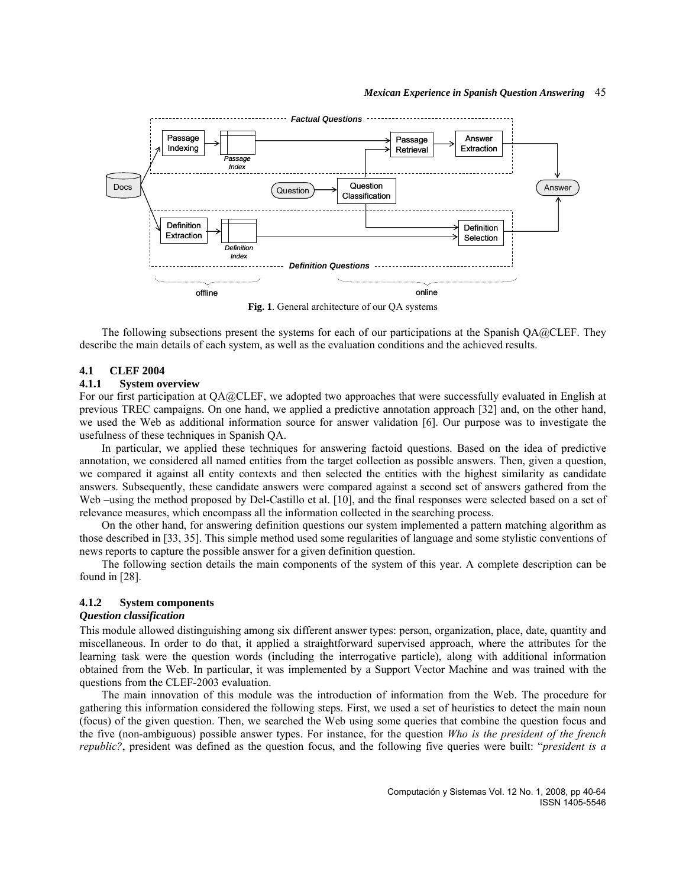

**Fig. 1**. General architecture of our QA systems

The following subsections present the systems for each of our participations at the Spanish QA@CLEF. They describe the main details of each system, as well as the evaluation conditions and the achieved results.

# **4.1 CLEF 2004**

# **4.1.1 System overview**

For our first participation at QA@CLEF, we adopted two approaches that were successfully evaluated in English at previous TREC campaigns. On one hand, we applied a predictive annotation approach [32] and, on the other hand, we used the Web as additional information source for answer validation [6]. Our purpose was to investigate the usefulness of these techniques in Spanish QA.

In particular, we applied these techniques for answering factoid questions. Based on the idea of predictive annotation, we considered all named entities from the target collection as possible answers. Then, given a question, we compared it against all entity contexts and then selected the entities with the highest similarity as candidate answers. Subsequently, these candidate answers were compared against a second set of answers gathered from the Web –using the method proposed by Del-Castillo et al. [10], and the final responses were selected based on a set of relevance measures, which encompass all the information collected in the searching process.

On the other hand, for answering definition questions our system implemented a pattern matching algorithm as those described in [33, 35]. This simple method used some regularities of language and some stylistic conventions of news reports to capture the possible answer for a given definition question.

The following section details the main components of the system of this year. A complete description can be found in [28].

### **4.1.2 System components**

### *Question classification*

This module allowed distinguishing among six different answer types: person, organization, place, date, quantity and miscellaneous. In order to do that, it applied a straightforward supervised approach, where the attributes for the learning task were the question words (including the interrogative particle), along with additional information obtained from the Web. In particular, it was implemented by a Support Vector Machine and was trained with the questions from the CLEF-2003 evaluation.

The main innovation of this module was the introduction of information from the Web. The procedure for gathering this information considered the following steps. First, we used a set of heuristics to detect the main noun (focus) of the given question. Then, we searched the Web using some queries that combine the question focus and the five (non-ambiguous) possible answer types. For instance, for the question *Who is the president of the french republic?*, president was defined as the question focus, and the following five queries were built: "*president is a*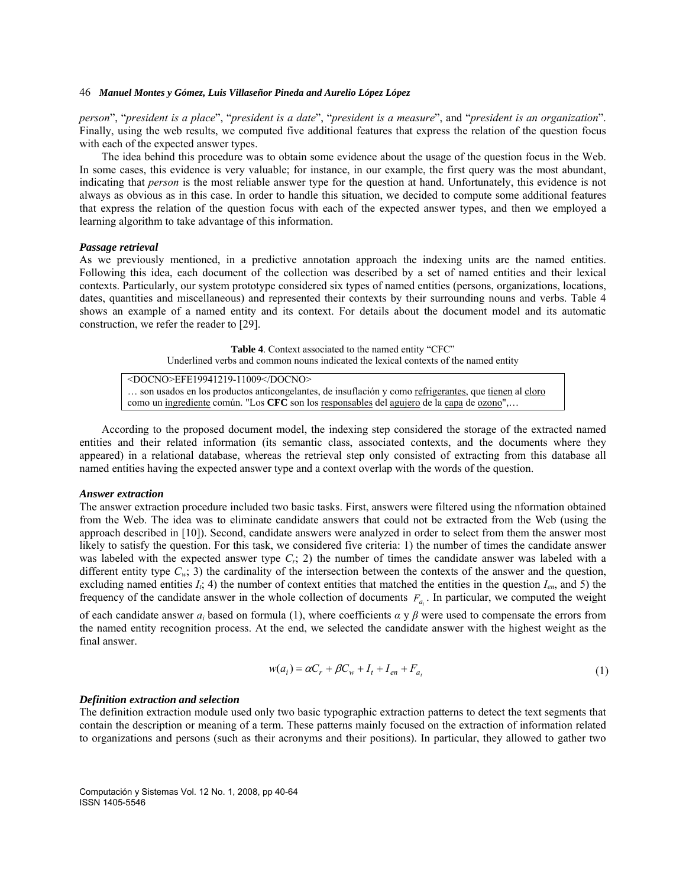*person*", "*president is a place*", "*president is a date*", "*president is a measure*", and "*president is an organization*". Finally, using the web results, we computed five additional features that express the relation of the question focus with each of the expected answer types.

The idea behind this procedure was to obtain some evidence about the usage of the question focus in the Web. In some cases, this evidence is very valuable; for instance, in our example, the first query was the most abundant, indicating that *person* is the most reliable answer type for the question at hand. Unfortunately, this evidence is not always as obvious as in this case. In order to handle this situation, we decided to compute some additional features that express the relation of the question focus with each of the expected answer types, and then we employed a learning algorithm to take advantage of this information.

#### *Passage retrieval*

As we previously mentioned, in a predictive annotation approach the indexing units are the named entities. Following this idea, each document of the collection was described by a set of named entities and their lexical contexts. Particularly, our system prototype considered six types of named entities (persons, organizations, locations, dates, quantities and miscellaneous) and represented their contexts by their surrounding nouns and verbs. Table 4 shows an example of a named entity and its context. For details about the document model and its automatic construction, we refer the reader to [29].

> **Table 4**. Context associated to the named entity "CFC" Underlined verbs and common nouns indicated the lexical contexts of the named entity

<DOCNO>EFE19941219-11009</DOCNO> ... son usados en los productos anticongelantes, de insuflación y como refrigerantes, que tienen al cloro como un ingrediente común. "Los **CFC** son los responsables del agujero de la capa de ozono",…

According to the proposed document model, the indexing step considered the storage of the extracted named entities and their related information (its semantic class, associated contexts, and the documents where they appeared) in a relational database, whereas the retrieval step only consisted of extracting from this database all named entities having the expected answer type and a context overlap with the words of the question.

#### *Answer extraction*

The answer extraction procedure included two basic tasks. First, answers were filtered using the nformation obtained from the Web. The idea was to eliminate candidate answers that could not be extracted from the Web (using the approach described in [10]). Second, candidate answers were analyzed in order to select from them the answer most likely to satisfy the question. For this task, we considered five criteria: 1) the number of times the candidate answer was labeled with the expected answer type  $C_r$ ; 2) the number of times the candidate answer was labeled with a different entity type  $C_w$ ; 3) the cardinality of the intersection between the contexts of the answer and the question, excluding named entities  $I_i$ ; 4) the number of context entities that matched the entities in the question  $I_{en}$ , and 5) the frequency of the candidate answer in the whole collection of documents  $F_{a_i}$ . In particular, we computed the weight

of each candidate answer  $a_i$  based on formula (1), where coefficients  $\alpha$  y  $\beta$  were used to compensate the errors from the named entity recognition process. At the end, we selected the candidate answer with the highest weight as the final answer.

$$
w(a_i) = \alpha C_r + \beta C_w + I_t + I_{en} + F_{a_i}
$$
\n<sup>(1)</sup>

#### *Definition extraction and selection*

The definition extraction module used only two basic typographic extraction patterns to detect the text segments that contain the description or meaning of a term. These patterns mainly focused on the extraction of information related to organizations and persons (such as their acronyms and their positions). In particular, they allowed to gather two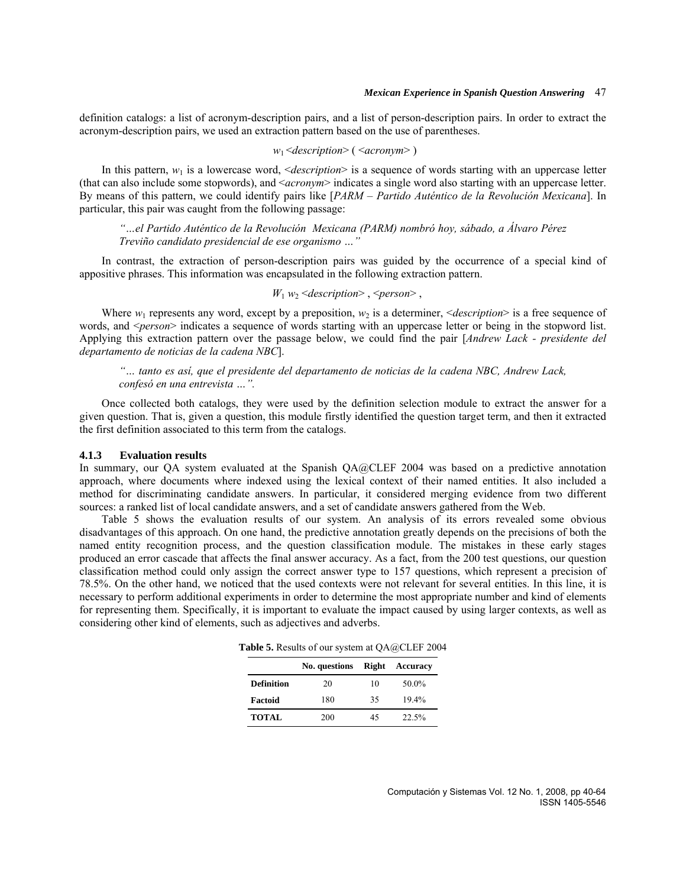definition catalogs: a list of acronym-description pairs, and a list of person-description pairs. In order to extract the acronym-description pairs, we used an extraction pattern based on the use of parentheses.

$$
w_1
$$
 $\leq$   $\leq$   $\leq$   $w_1$   $\leq$   $w_2$ 

In this pattern,  $w_1$  is a lowercase word,  $\leq$  *description*> is a sequence of words starting with an uppercase letter (that can also include some stopwords), and <*acronym*> indicates a single word also starting with an uppercase letter. By means of this pattern, we could identify pairs like [*PARM* – *Partido Auténtico de la Revolución Mexicana*]. In particular, this pair was caught from the following passage:

*"…el Partido Auténtico de la Revolución Mexicana (PARM) nombró hoy, sábado, a Álvaro Pérez Treviño candidato presidencial de ese organismo …"* 

In contrast, the extraction of person-description pairs was guided by the occurrence of a special kind of appositive phrases. This information was encapsulated in the following extraction pattern.

### *W*<sup>1</sup> *w*2 <*description*> , <*person*> ,

Where  $w_1$  represents any word, except by a preposition,  $w_2$  is a determiner,  $\leq$  *description* $>$  is a free sequence of words, and  $\leq$ *person*> indicates a sequence of words starting with an uppercase letter or being in the stopword list. Applying this extraction pattern over the passage below, we could find the pair [*Andrew Lack - presidente del departamento de noticias de la cadena NBC*].

*"… tanto es así, que el presidente del departamento de noticias de la cadena NBC, Andrew Lack, confesó en una entrevista …".* 

Once collected both catalogs, they were used by the definition selection module to extract the answer for a given question. That is, given a question, this module firstly identified the question target term, and then it extracted the first definition associated to this term from the catalogs.

### **4.1.3 Evaluation results**

In summary, our QA system evaluated at the Spanish QA@CLEF 2004 was based on a predictive annotation approach, where documents where indexed using the lexical context of their named entities. It also included a method for discriminating candidate answers. In particular, it considered merging evidence from two different sources: a ranked list of local candidate answers, and a set of candidate answers gathered from the Web.

Table 5 shows the evaluation results of our system. An analysis of its errors revealed some obvious disadvantages of this approach. On one hand, the predictive annotation greatly depends on the precisions of both the named entity recognition process, and the question classification module. The mistakes in these early stages produced an error cascade that affects the final answer accuracy. As a fact, from the 200 test questions, our question classification method could only assign the correct answer type to 157 questions, which represent a precision of 78.5%. On the other hand, we noticed that the used contexts were not relevant for several entities. In this line, it is necessary to perform additional experiments in order to determine the most appropriate number and kind of elements for representing them. Specifically, it is important to evaluate the impact caused by using larger contexts, as well as considering other kind of elements, such as adjectives and adverbs.

**Table 5.** Results of our system at QA@CLEF 2004

|                   | No. questions Right |    | Accuracy |
|-------------------|---------------------|----|----------|
| <b>Definition</b> | 20                  | 10 | 50.0%    |
| Factoid           | 180                 | 35 | $19.4\%$ |
| <b>TOTAL</b>      | 200                 | 45 | 22.5%    |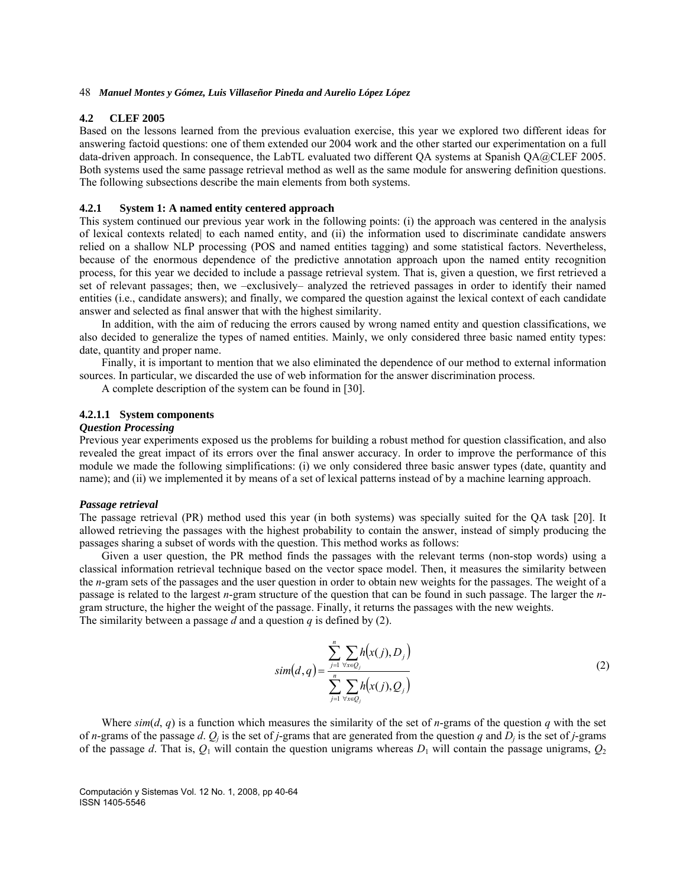#### **4.2 CLEF 2005**

Based on the lessons learned from the previous evaluation exercise, this year we explored two different ideas for answering factoid questions: one of them extended our 2004 work and the other started our experimentation on a full data-driven approach. In consequence, the LabTL evaluated two different QA systems at Spanish QA@CLEF 2005. Both systems used the same passage retrieval method as well as the same module for answering definition questions. The following subsections describe the main elements from both systems.

### **4.2.1 System 1: A named entity centered approach**

This system continued our previous year work in the following points: (i) the approach was centered in the analysis of lexical contexts related| to each named entity, and (ii) the information used to discriminate candidate answers relied on a shallow NLP processing (POS and named entities tagging) and some statistical factors. Nevertheless, because of the enormous dependence of the predictive annotation approach upon the named entity recognition process, for this year we decided to include a passage retrieval system. That is, given a question, we first retrieved a set of relevant passages; then, we –exclusively– analyzed the retrieved passages in order to identify their named entities (i.e., candidate answers); and finally, we compared the question against the lexical context of each candidate answer and selected as final answer that with the highest similarity.

In addition, with the aim of reducing the errors caused by wrong named entity and question classifications, we also decided to generalize the types of named entities. Mainly, we only considered three basic named entity types: date, quantity and proper name.

Finally, it is important to mention that we also eliminated the dependence of our method to external information sources. In particular, we discarded the use of web information for the answer discrimination process.

A complete description of the system can be found in [30].

### **4.2.1.1 System components**

### *Question Processing*

Previous year experiments exposed us the problems for building a robust method for question classification, and also revealed the great impact of its errors over the final answer accuracy. In order to improve the performance of this module we made the following simplifications: (i) we only considered three basic answer types (date, quantity and name); and (ii) we implemented it by means of a set of lexical patterns instead of by a machine learning approach.

#### *Passage retrieval*

The passage retrieval (PR) method used this year (in both systems) was specially suited for the QA task [20]. It allowed retrieving the passages with the highest probability to contain the answer, instead of simply producing the passages sharing a subset of words with the question. This method works as follows:

Given a user question, the PR method finds the passages with the relevant terms (non-stop words) using a classical information retrieval technique based on the vector space model. Then, it measures the similarity between the *n*-gram sets of the passages and the user question in order to obtain new weights for the passages. The weight of a passage is related to the largest *n*-gram structure of the question that can be found in such passage. The larger the *n*gram structure, the higher the weight of the passage. Finally, it returns the passages with the new weights. The similarity between a passage *d* and a question *q* is defined by (2).

$$
sim(d,q) = \frac{\sum_{j=1}^{n} \sum_{\forall x \in Q_j} h(x(j), D_j)}{\sum_{j=1}^{n} \sum_{\forall x \in Q_j} h(x(j), Q_j)}
$$
(2)

Where  $\sin(\theta, q)$  is a function which measures the similarity of the set of *n*-grams of the question *q* with the set of *n*-grams of the passage *d*.  $Q_i$  is the set of *j*-grams that are generated from the question *q* and  $D_i$  is the set of *j*-grams of the passage *d*. That is,  $Q_1$  will contain the question unigrams whereas  $D_1$  will contain the passage unigrams,  $Q_2$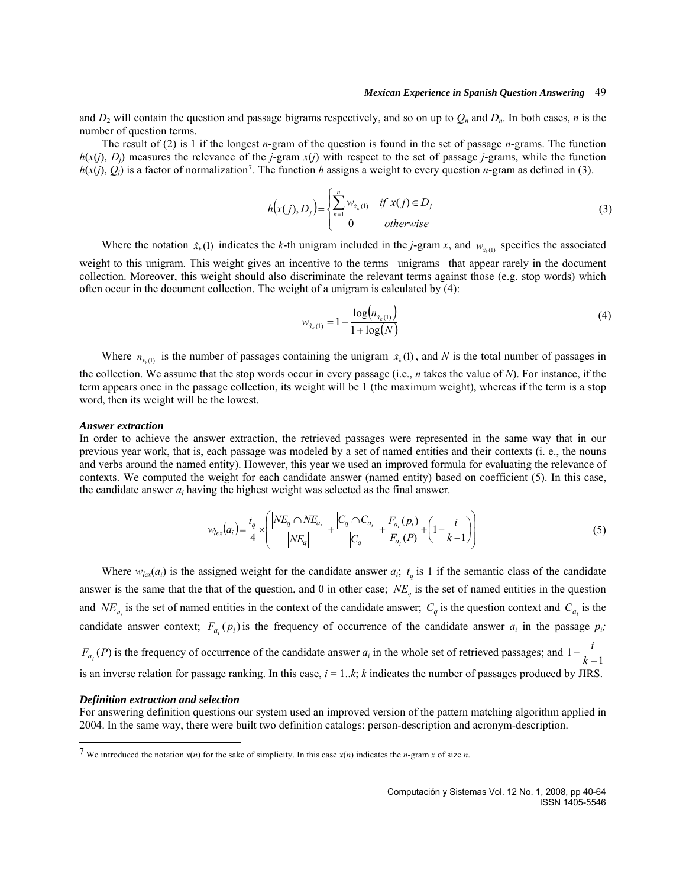and  $D_2$  will contain the question and passage bigrams respectively, and so on up to  $Q_n$  and  $D_n$ . In both cases, *n* is the number of question terms.

The result of (2) is 1 if the longest *n*-gram of the question is found in the set of passage *n*-grams. The function  $h(x(i), D_i)$  measures the relevance of the *j*-gram  $x(i)$  with respect to the set of passage *j*-grams, while the function  $h(x(j), Q_i)$  is a factor of normalization<sup>[7](#page-9-0)</sup>. The function *h* assigns a weight to every question *n*-gram as defined in (3).

$$
h(x(j), D_j) = \begin{cases} \sum_{k=1}^{n} w_{\hat{x}_k(1)} & \text{if } x(j) \in D_j \\ 0 & \text{otherwise} \end{cases}
$$
 (3)

Where the notation  $\hat{x}_k$  (1) indicates the *k*-th unigram included in the *j*-gram *x*, and  $w_{\hat{x}_k(1)}$  specifies the associated weight to this unigram. This weight gives an incentive to the terms –unigrams– that appear rarely in the document collection. Moreover, this weight should also discriminate the relevant terms against those (e.g. stop words) which often occur in the document collection. The weight of a unigram is calculated by (4):

$$
w_{x_k(1)} = 1 - \frac{\log(n_{x_k(1)})}{1 + \log(N)}\tag{4}
$$

Where  $n_{s_k(1)}$  is the number of passages containing the unigram  $\hat{x}_k(1)$ , and *N* is the total number of passages in

the collection. We assume that the stop words occur in every passage (i.e., *n* takes the value of *N*). For instance, if the term appears once in the passage collection, its weight will be 1 (the maximum weight), whereas if the term is a stop word, then its weight will be the lowest.

#### *Answer extraction*

In order to achieve the answer extraction, the retrieved passages were represented in the same way that in our previous year work, that is, each passage was modeled by a set of named entities and their contexts (i. e., the nouns and verbs around the named entity). However, this year we used an improved formula for evaluating the relevance of contexts. We computed the weight for each candidate answer (named entity) based on coefficient (5). In this case, the candidate answer  $a_i$  having the highest weight was selected as the final answer.

$$
w_{lex}(a_i) = \frac{t_q}{4} \times \left( \frac{|NE_q \cap NE_{a_i}|}{|NE_q|} + \frac{|C_q \cap C_{a_i}|}{|C_q|} + \frac{F_{a_i}(p_i)}{F_{a_i}(P)} + \left(1 - \frac{i}{k - 1}\right) \right) \tag{5}
$$

Where  $w_{lex}(a_i)$  is the assigned weight for the candidate answer  $a_i$ ;  $t_q$  is 1 if the semantic class of the candidate answer is the same that the that of the question, and 0 in other case;  $NE<sub>q</sub>$  is the set of named entities in the question and  $NE_{a_i}$  is the set of named entities in the context of the candidate answer;  $C_q$  is the question context and  $C_{a_i}$  is the candidate answer context;  $F_{a_i}(p_i)$  is the frequency of occurrence of the candidate answer  $a_i$  in the passage  $p_i$ ;  $F_{a_i}(P)$  is the frequency of occurrence of the candidate answer  $a_i$  in the whole set of retrieved passages; and  $1-\frac{i}{k-1}$ is an inverse relation for passage ranking. In this case,  $i = 1..k$ ; *k* indicates the number of passages produced by JIRS.

#### *Definition extraction and selection*

 $\overline{\phantom{a}}$ 

For answering definition questions our system used an improved version of the pattern matching algorithm applied in 2004. In the same way, there were built two definition catalogs: person-description and acronym-description.

<span id="page-9-0"></span><sup>&</sup>lt;sup>7</sup> We introduced the notation  $x(n)$  for the sake of simplicity. In this case  $x(n)$  indicates the *n*-gram *x* of size *n*.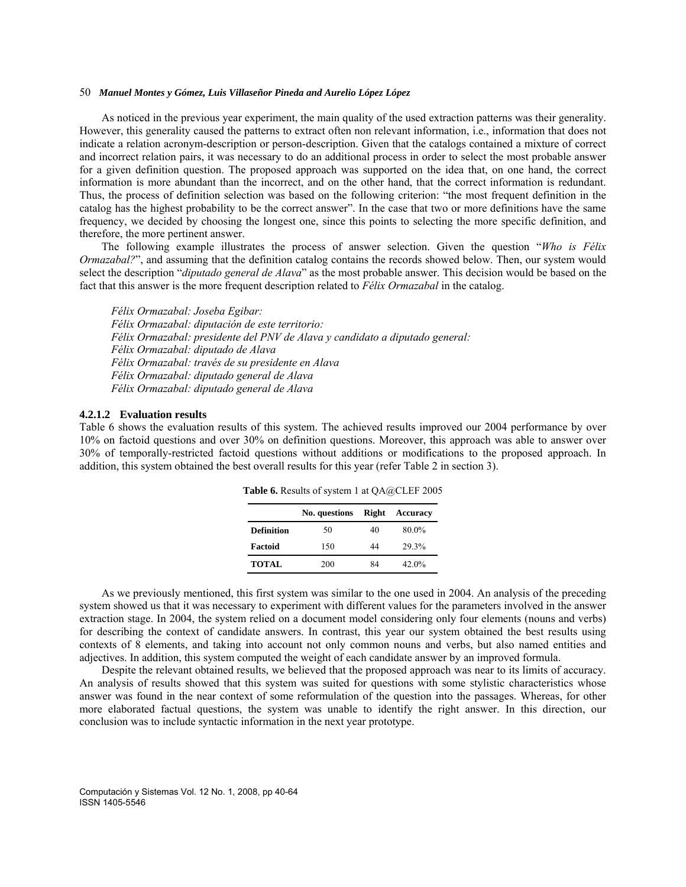As noticed in the previous year experiment, the main quality of the used extraction patterns was their generality. However, this generality caused the patterns to extract often non relevant information, i.e., information that does not indicate a relation acronym-description or person-description. Given that the catalogs contained a mixture of correct and incorrect relation pairs, it was necessary to do an additional process in order to select the most probable answer for a given definition question. The proposed approach was supported on the idea that, on one hand, the correct information is more abundant than the incorrect, and on the other hand, that the correct information is redundant. Thus, the process of definition selection was based on the following criterion: "the most frequent definition in the catalog has the highest probability to be the correct answer". In the case that two or more definitions have the same frequency, we decided by choosing the longest one, since this points to selecting the more specific definition, and therefore, the more pertinent answer.

The following example illustrates the process of answer selection. Given the question "*Who is Félix Ormazabal?*", and assuming that the definition catalog contains the records showed below. Then, our system would select the description "*diputado general de Alava*" as the most probable answer. This decision would be based on the fact that this answer is the more frequent description related to *Félix Ormazabal* in the catalog.

*Félix Ormazabal: Joseba Egibar: Félix Ormazabal: diputación de este territorio: Félix Ormazabal: presidente del PNV de Alava y candidato a diputado general: Félix Ormazabal: diputado de Alava Félix Ormazabal: través de su presidente en Alava Félix Ormazabal: diputado general de Alava Félix Ormazabal: diputado general de Alava* 

### **4.2.1.2 Evaluation results**

Table 6 shows the evaluation results of this system. The achieved results improved our 2004 performance by over 10% on factoid questions and over 30% on definition questions. Moreover, this approach was able to answer over 30% of temporally-restricted factoid questions without additions or modifications to the proposed approach. In addition, this system obtained the best overall results for this year (refer Table 2 in section 3).

|                   | No. questions | Right | Accuracy |
|-------------------|---------------|-------|----------|
| <b>Definition</b> | 50            | 40    | 80.0%    |
| Factoid           | 150           | 44    | 29.3%    |
| <b>TOTAL</b>      | 200           | 84    | $42.0\%$ |

**Table 6.** Results of system 1 at QA@CLEF 2005

As we previously mentioned, this first system was similar to the one used in 2004. An analysis of the preceding system showed us that it was necessary to experiment with different values for the parameters involved in the answer extraction stage. In 2004, the system relied on a document model considering only four elements (nouns and verbs) for describing the context of candidate answers. In contrast, this year our system obtained the best results using contexts of 8 elements, and taking into account not only common nouns and verbs, but also named entities and adjectives. In addition, this system computed the weight of each candidate answer by an improved formula.

Despite the relevant obtained results, we believed that the proposed approach was near to its limits of accuracy. An analysis of results showed that this system was suited for questions with some stylistic characteristics whose answer was found in the near context of some reformulation of the question into the passages. Whereas, for other more elaborated factual questions, the system was unable to identify the right answer. In this direction, our conclusion was to include syntactic information in the next year prototype.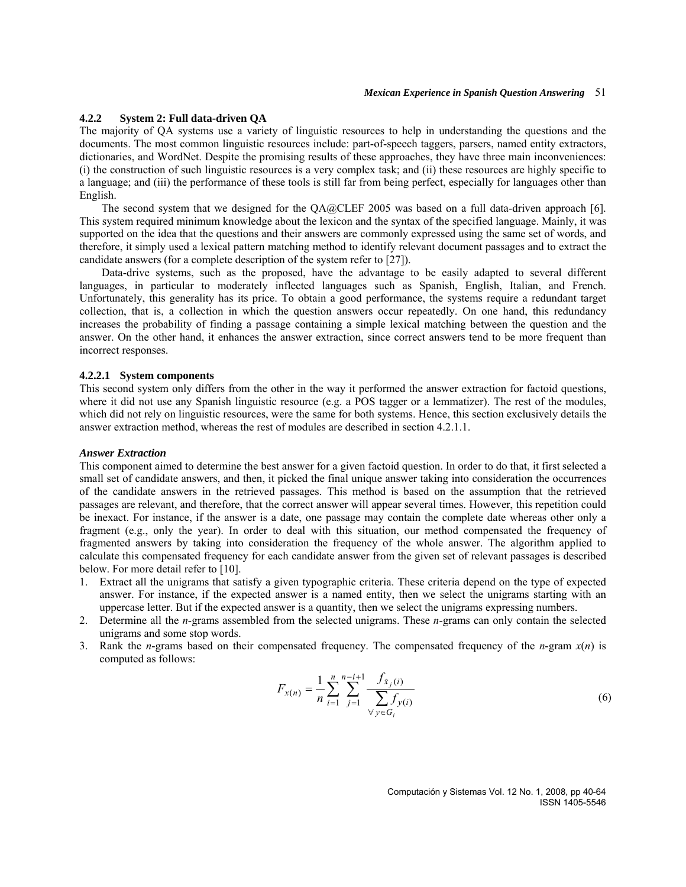### **4.2.2 System 2: Full data-driven QA**

The majority of QA systems use a variety of linguistic resources to help in understanding the questions and the documents. The most common linguistic resources include: part-of-speech taggers, parsers, named entity extractors, dictionaries, and WordNet. Despite the promising results of these approaches, they have three main inconveniences: (i) the construction of such linguistic resources is a very complex task; and (ii) these resources are highly specific to a language; and (iii) the performance of these tools is still far from being perfect, especially for languages other than English.

The second system that we designed for the QA@CLEF 2005 was based on a full data-driven approach [6]. This system required minimum knowledge about the lexicon and the syntax of the specified language. Mainly, it was supported on the idea that the questions and their answers are commonly expressed using the same set of words, and therefore, it simply used a lexical pattern matching method to identify relevant document passages and to extract the candidate answers (for a complete description of the system refer to [27]).

Data-drive systems, such as the proposed, have the advantage to be easily adapted to several different languages, in particular to moderately inflected languages such as Spanish, English, Italian, and French. Unfortunately, this generality has its price. To obtain a good performance, the systems require a redundant target collection, that is, a collection in which the question answers occur repeatedly. On one hand, this redundancy increases the probability of finding a passage containing a simple lexical matching between the question and the answer. On the other hand, it enhances the answer extraction, since correct answers tend to be more frequent than incorrect responses.

### **4.2.2.1 System components**

This second system only differs from the other in the way it performed the answer extraction for factoid questions, where it did not use any Spanish linguistic resource (e.g. a POS tagger or a lemmatizer). The rest of the modules, which did not rely on linguistic resources, were the same for both systems. Hence, this section exclusively details the answer extraction method, whereas the rest of modules are described in section 4.2.1.1.

#### *Answer Extraction*

This component aimed to determine the best answer for a given factoid question. In order to do that, it first selected a small set of candidate answers, and then, it picked the final unique answer taking into consideration the occurrences of the candidate answers in the retrieved passages. This method is based on the assumption that the retrieved passages are relevant, and therefore, that the correct answer will appear several times. However, this repetition could be inexact. For instance, if the answer is a date, one passage may contain the complete date whereas other only a fragment (e.g., only the year). In order to deal with this situation, our method compensated the frequency of fragmented answers by taking into consideration the frequency of the whole answer. The algorithm applied to calculate this compensated frequency for each candidate answer from the given set of relevant passages is described below. For more detail refer to [10].

- 1. Extract all the unigrams that satisfy a given typographic criteria. These criteria depend on the type of expected answer. For instance, if the expected answer is a named entity, then we select the unigrams starting with an uppercase letter. But if the expected answer is a quantity, then we select the unigrams expressing numbers.
- 2. Determine all the *n*-grams assembled from the selected unigrams. These *n*-grams can only contain the selected unigrams and some stop words.
- 3. Rank the *n*-grams based on their compensated frequency. The compensated frequency of the *n*-gram *x*(*n*) is computed as follows:

$$
F_{x(n)} = \frac{1}{n} \sum_{i=1}^{n} \sum_{j=1}^{n-i+1} \frac{f_{\hat{x}_j(i)}}{\sum_{\forall y \in G_i} f_{y(i)}}
$$
(6)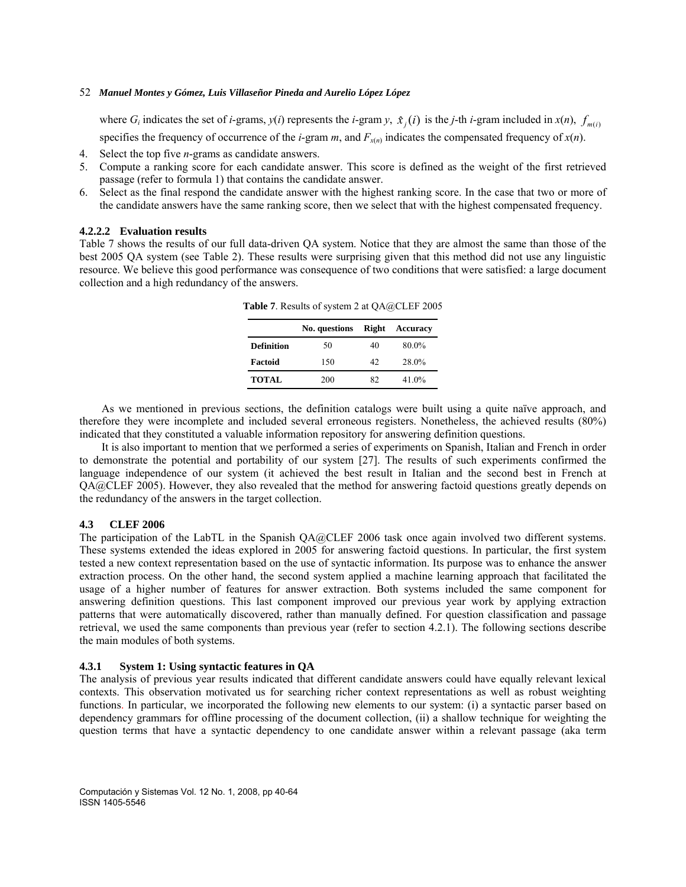where  $G_i$  indicates the set of *i*-grams,  $y(i)$  represents the *i*-gram  $y$ ,  $\hat{x}_j(i)$  is the *j*-th *i*-gram included in  $x(n)$ ,  $f_{m(i)}$ 

specifies the frequency of occurrence of the *i*-gram *m*, and  $F_{x(n)}$  indicates the compensated frequency of  $x(n)$ .

- 4. Select the top five *n*-grams as candidate answers.
- 5. Compute a ranking score for each candidate answer. This score is defined as the weight of the first retrieved passage (refer to formula 1) that contains the candidate answer.
- 6. Select as the final respond the candidate answer with the highest ranking score. In the case that two or more of the candidate answers have the same ranking score, then we select that with the highest compensated frequency.

### **4.2.2.2 Evaluation results**

Table 7 shows the results of our full data-driven QA system. Notice that they are almost the same than those of the best 2005 QA system (see Table 2). These results were surprising given that this method did not use any linguistic resource. We believe this good performance was consequence of two conditions that were satisfied: a large document collection and a high redundancy of the answers.

|                   | No. questions | <b>Right</b> | Accuracy |
|-------------------|---------------|--------------|----------|
| <b>Definition</b> | 50            | 40           | 80.0%    |
| Factoid           | 150           | 42           | 28.0%    |
| <b>TOTAL</b>      | 200           | 82           | 41.0%    |

**Table 7**. Results of system 2 at QA@CLEF 2005

As we mentioned in previous sections, the definition catalogs were built using a quite naïve approach, and therefore they were incomplete and included several erroneous registers. Nonetheless, the achieved results (80%) indicated that they constituted a valuable information repository for answering definition questions.

It is also important to mention that we performed a series of experiments on Spanish, Italian and French in order to demonstrate the potential and portability of our system [27]. The results of such experiments confirmed the language independence of our system (it achieved the best result in Italian and the second best in French at QA@CLEF 2005). However, they also revealed that the method for answering factoid questions greatly depends on the redundancy of the answers in the target collection.

## **4.3 CLEF 2006**

The participation of the LabTL in the Spanish QA@CLEF 2006 task once again involved two different systems. These systems extended the ideas explored in 2005 for answering factoid questions. In particular, the first system tested a new context representation based on the use of syntactic information. Its purpose was to enhance the answer extraction process. On the other hand, the second system applied a machine learning approach that facilitated the usage of a higher number of features for answer extraction. Both systems included the same component for answering definition questions. This last component improved our previous year work by applying extraction patterns that were automatically discovered, rather than manually defined. For question classification and passage retrieval, we used the same components than previous year (refer to section 4.2.1). The following sections describe the main modules of both systems.

### **4.3.1 System 1: Using syntactic features in QA**

The analysis of previous year results indicated that different candidate answers could have equally relevant lexical contexts. This observation motivated us for searching richer context representations as well as robust weighting functions. In particular, we incorporated the following new elements to our system: (i) a syntactic parser based on dependency grammars for offline processing of the document collection, (ii) a shallow technique for weighting the question terms that have a syntactic dependency to one candidate answer within a relevant passage (aka term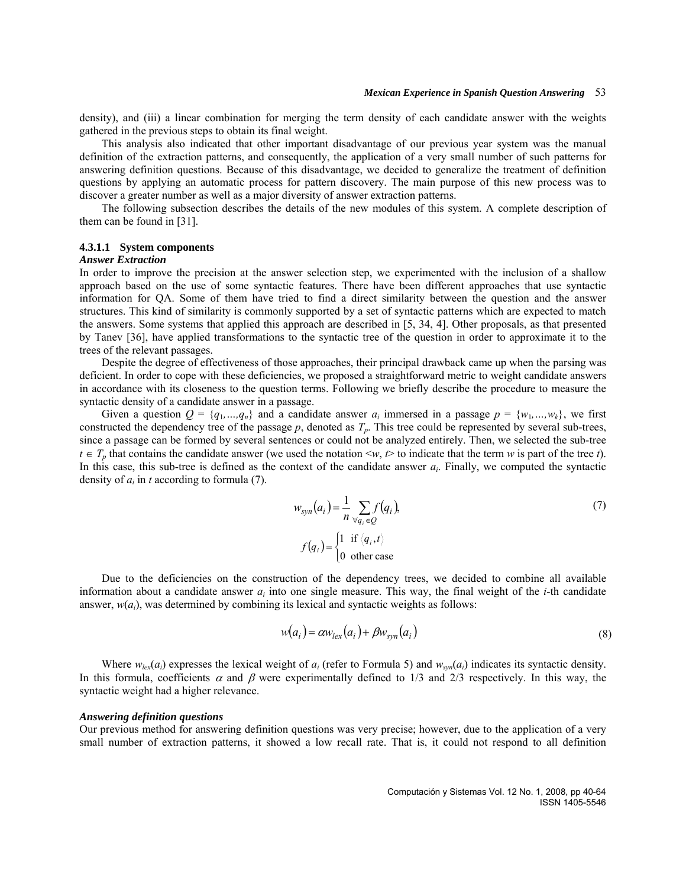density), and (iii) a linear combination for merging the term density of each candidate answer with the weights gathered in the previous steps to obtain its final weight.

This analysis also indicated that other important disadvantage of our previous year system was the manual definition of the extraction patterns, and consequently, the application of a very small number of such patterns for answering definition questions. Because of this disadvantage, we decided to generalize the treatment of definition questions by applying an automatic process for pattern discovery. The main purpose of this new process was to discover a greater number as well as a major diversity of answer extraction patterns.

The following subsection describes the details of the new modules of this system. A complete description of them can be found in [31].

#### **4.3.1.1 System components**

### *Answer Extraction*

In order to improve the precision at the answer selection step, we experimented with the inclusion of a shallow approach based on the use of some syntactic features. There have been different approaches that use syntactic information for QA. Some of them have tried to find a direct similarity between the question and the answer structures. This kind of similarity is commonly supported by a set of syntactic patterns which are expected to match the answers. Some systems that applied this approach are described in [5, 34, 4]. Other proposals, as that presented by Tanev [36], have applied transformations to the syntactic tree of the question in order to approximate it to the trees of the relevant passages.

Despite the degree of effectiveness of those approaches, their principal drawback came up when the parsing was deficient. In order to cope with these deficiencies, we proposed a straightforward metric to weight candidate answers in accordance with its closeness to the question terms. Following we briefly describe the procedure to measure the syntactic density of a candidate answer in a passage.

Given a question  $Q = \{q_1, ..., q_n\}$  and a candidate answer  $a_i$  immersed in a passage  $p = \{w_1, ..., w_k\}$ , we first constructed the dependency tree of the passage  $p$ , denoted as  $T_p$ . This tree could be represented by several sub-trees, since a passage can be formed by several sentences or could not be analyzed entirely. Then, we selected the sub-tree *t*  $\in T_p$  that contains the candidate answer (we used the notation  $\lt w, t \gt$  to indicate that the term *w* is part of the tree *t*). In this case, this sub-tree is defined as the context of the candidate answer  $a_i$ . Finally, we computed the syntactic density of  $a_i$  in  $t$  according to formula (7).

$$
w_{syn}(a_i) = \frac{1}{n} \sum_{\forall q_i \in Q} f(q_i),
$$
  

$$
f(q_i) = \begin{cases} 1 & \text{if } \langle q_i, t \rangle \\ 0 & \text{other case} \end{cases}
$$
 (7)

Due to the deficiencies on the construction of the dependency trees, we decided to combine all available information about a candidate answer  $a_i$  into one single measure. This way, the final weight of the *i*-th candidate answer,  $w(a_i)$ , was determined by combining its lexical and syntactic weights as follows:

$$
w(a_i) = \alpha w_{lex}(a_i) + \beta w_{syn}(a_i)
$$
\n(8)

Where  $w_{\text{lex}}(a_i)$  expresses the lexical weight of  $a_i$  (refer to Formula 5) and  $w_{syn}(a_i)$  indicates its syntactic density. In this formula, coefficients  $\alpha$  and  $\beta$  were experimentally defined to 1/3 and 2/3 respectively. In this way, the syntactic weight had a higher relevance.

#### *Answering definition questions*

Our previous method for answering definition questions was very precise; however, due to the application of a very small number of extraction patterns, it showed a low recall rate. That is, it could not respond to all definition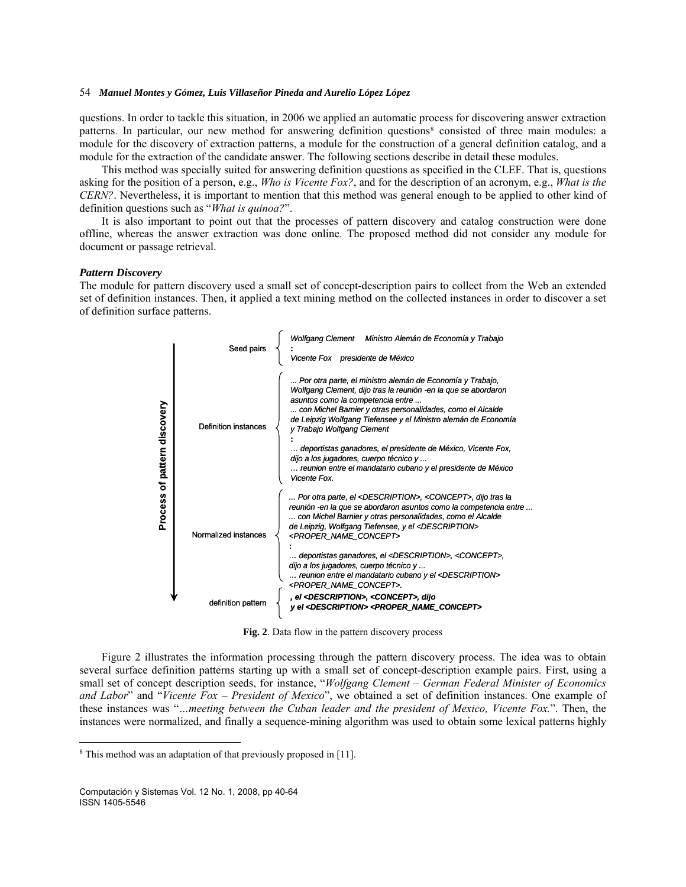questions. In order to tackle this situation, in 2006 we applied an automatic process for discovering answer extraction patterns. In particular, our new method for answering definition questions<sup>[8](#page-14-0)</sup> consisted of three main modules: a module for the discovery of extraction patterns, a module for the construction of a general definition catalog, and a module for the extraction of the candidate answer. The following sections describe in detail these modules.

This method was specially suited for answering definition questions as specified in the CLEF. That is, questions asking for the position of a person, e.g., *Who is Vicente Fox?*, and for the description of an acronym, e.g., *What is the CERN?*. Nevertheless, it is important to mention that this method was general enough to be applied to other kind of definition questions such as "*What is quinoa?*".

It is also important to point out that the processes of pattern discovery and catalog construction were done offline, whereas the answer extraction was done online. The proposed method did not consider any module for document or passage retrieval.

### *Pattern Discovery*

The module for pattern discovery used a small set of concept-description pairs to collect from the Web an extended set of definition instances. Then, it applied a text mining method on the collected instances in order to discover a set of definition surface patterns.



**Fig. 2**. Data flow in the pattern discovery process

Figure 2 illustrates the information processing through the pattern discovery process. The idea was to obtain several surface definition patterns starting up with a small set of concept-description example pairs. First, using a small set of concept description seeds, for instance, "*Wolfgang Clement* – *German Federal Minister of Economics and Labor*" and "*Vicente Fox* – *President of Mexico*", we obtained a set of definition instances. One example of these instances was "*…meeting between the Cuban leader and the president of Mexico, Vicente Fox.*". Then, the instances were normalized, and finally a sequence-mining algorithm was used to obtain some lexical patterns highly

 $\overline{\phantom{a}}$ 

<span id="page-14-0"></span><sup>8</sup> This method was an adaptation of that previously proposed in [11].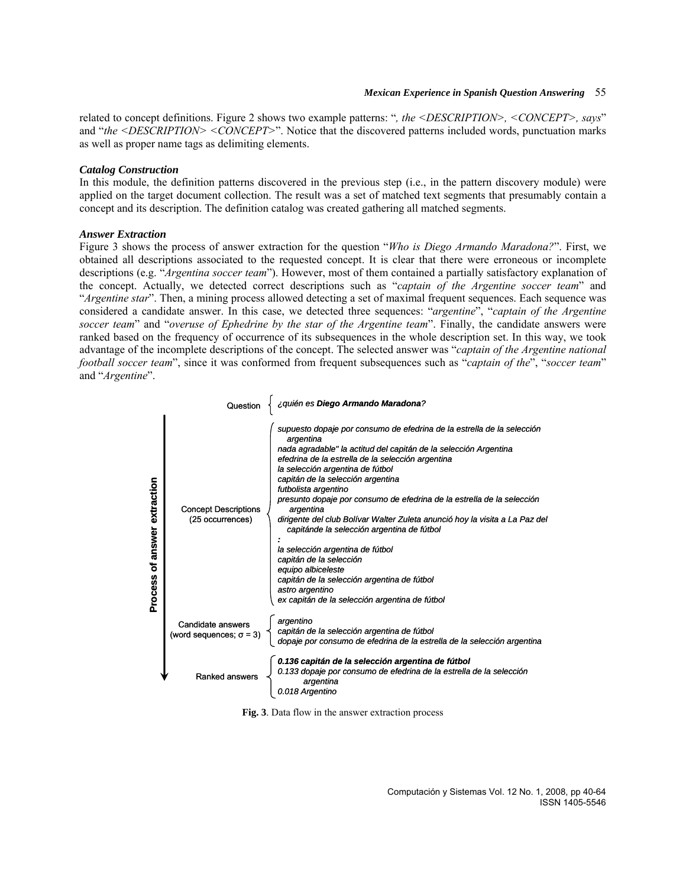related to concept definitions. Figure 2 shows two example patterns: "*, the <DESCRIPTION>, <CONCEPT>, says*" and "*the <DESCRIPTION> <CONCEPT>*". Notice that the discovered patterns included words, punctuation marks as well as proper name tags as delimiting elements.

### *Catalog Construction*

In this module, the definition patterns discovered in the previous step (i.e., in the pattern discovery module) were applied on the target document collection. The result was a set of matched text segments that presumably contain a concept and its description. The definition catalog was created gathering all matched segments.

### *Answer Extraction*

Figure 3 shows the process of answer extraction for the question "*Who is Diego Armando Maradona?*". First, we obtained all descriptions associated to the requested concept. It is clear that there were erroneous or incomplete descriptions (e.g. "*Argentina soccer team*"). However, most of them contained a partially satisfactory explanation of the concept. Actually, we detected correct descriptions such as "*captain of the Argentine soccer team*" and "*Argentine star*". Then, a mining process allowed detecting a set of maximal frequent sequences. Each sequence was considered a candidate answer. In this case, we detected three sequences: "*argentine*", "*captain of the Argentine soccer team*" and "*overuse of Ephedrine by the star of the Argentine team*". Finally, the candidate answers were ranked based on the frequency of occurrence of its subsequences in the whole description set. In this way, we took advantage of the incomplete descriptions of the concept. The selected answer was "*captain of the Argentine national football soccer team*", since it was conformed from frequent subsequences such as "*captain of the*", "*soccer team*" and "*Argentine*".

|                                   | Question                                             | ¿quién es Diego Armando Maradona?                                                                                                                                                                                                                                                                                                                                                                                                                                                                                                                                                                                                                                                                                                          |
|-----------------------------------|------------------------------------------------------|--------------------------------------------------------------------------------------------------------------------------------------------------------------------------------------------------------------------------------------------------------------------------------------------------------------------------------------------------------------------------------------------------------------------------------------------------------------------------------------------------------------------------------------------------------------------------------------------------------------------------------------------------------------------------------------------------------------------------------------------|
| answer extraction<br>৳<br>Process | <b>Concept Descriptions</b><br>(25 occurrences)      | supuesto dopaje por consumo de efedrina de la estrella de la selección<br>argentina<br>nada agradable" la actitud del capitán de la selección Argentina<br>efedrina de la estrella de la selección argentina<br>la selección argentina de fútbol<br>capitán de la selección argentina<br>futbolista argentino<br>presunto dopaje por consumo de efedrina de la estrella de la selección<br>argentina<br>dirigente del club Bolívar Walter Zuleta anunció hoy la visita a La Paz del<br>capitánde la selección argentina de fútbol<br>la selección argentina de fútbol<br>capitán de la selección<br>equipo albiceleste<br>capitán de la selección argentina de fútbol<br>astro argentino<br>ex capitán de la selección argentina de fútbol |
|                                   | Candidate answers<br>(word sequences; $\sigma = 3$ ) | argentino<br>capitán de la selección argentina de fútbol<br>dopaje por consumo de efedrina de la estrella de la selección argentina                                                                                                                                                                                                                                                                                                                                                                                                                                                                                                                                                                                                        |
|                                   | Ranked answers                                       | 0.136 capitán de la selección argentina de fútbol<br>0.133 dopaje por consumo de efedrina de la estrella de la selección<br>argentina<br>0.018 Argentino                                                                                                                                                                                                                                                                                                                                                                                                                                                                                                                                                                                   |

**Fig. 3**. Data flow in the answer extraction process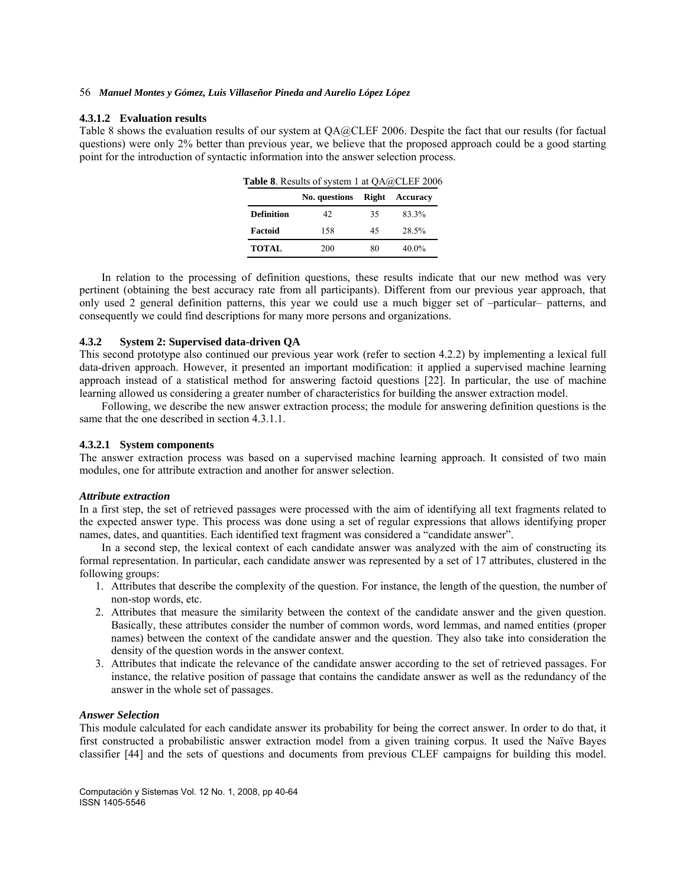#### **4.3.1.2 Evaluation results**

Table 8 shows the evaluation results of our system at QA@CLEF 2006. Despite the fact that our results (for factual questions) were only 2% better than previous year, we believe that the proposed approach could be a good starting point for the introduction of syntactic information into the answer selection process.

| <b>Table 8.</b> Results of system 1 at $QA@CLEF 2006$ |               |              |          |  |
|-------------------------------------------------------|---------------|--------------|----------|--|
|                                                       | No. questions | <b>Right</b> | Accuracy |  |
| <b>Definition</b>                                     | 42            | 35           | 83.3%    |  |
| Factoid                                               | 158           | 45           | 28.5%    |  |
| <b>TOTAL</b>                                          | 200           | 80           | 40.0%    |  |

In relation to the processing of definition questions, these results indicate that our new method was very pertinent (obtaining the best accuracy rate from all participants). Different from our previous year approach, that only used 2 general definition patterns, this year we could use a much bigger set of –particular– patterns, and consequently we could find descriptions for many more persons and organizations.

### **4.3.2 System 2: Supervised data-driven QA**

This second prototype also continued our previous year work (refer to section 4.2.2) by implementing a lexical full data-driven approach. However, it presented an important modification: it applied a supervised machine learning approach instead of a statistical method for answering factoid questions [22]. In particular, the use of machine learning allowed us considering a greater number of characteristics for building the answer extraction model.

Following, we describe the new answer extraction process; the module for answering definition questions is the same that the one described in section 4.3.1.1.

## **4.3.2.1 System components**

The answer extraction process was based on a supervised machine learning approach. It consisted of two main modules, one for attribute extraction and another for answer selection.

#### *Attribute extraction*

In a first step, the set of retrieved passages were processed with the aim of identifying all text fragments related to the expected answer type. This process was done using a set of regular expressions that allows identifying proper names, dates, and quantities. Each identified text fragment was considered a "candidate answer".

In a second step, the lexical context of each candidate answer was analyzed with the aim of constructing its formal representation. In particular, each candidate answer was represented by a set of 17 attributes, clustered in the following groups:

- 1. Attributes that describe the complexity of the question. For instance, the length of the question, the number of non-stop words, etc.
- 2. Attributes that measure the similarity between the context of the candidate answer and the given question. Basically, these attributes consider the number of common words, word lemmas, and named entities (proper names) between the context of the candidate answer and the question. They also take into consideration the density of the question words in the answer context.
- 3. Attributes that indicate the relevance of the candidate answer according to the set of retrieved passages. For instance, the relative position of passage that contains the candidate answer as well as the redundancy of the answer in the whole set of passages.

#### *Answer Selection*

This module calculated for each candidate answer its probability for being the correct answer. In order to do that, it first constructed a probabilistic answer extraction model from a given training corpus. It used the Naïve Bayes classifier [44] and the sets of questions and documents from previous CLEF campaigns for building this model.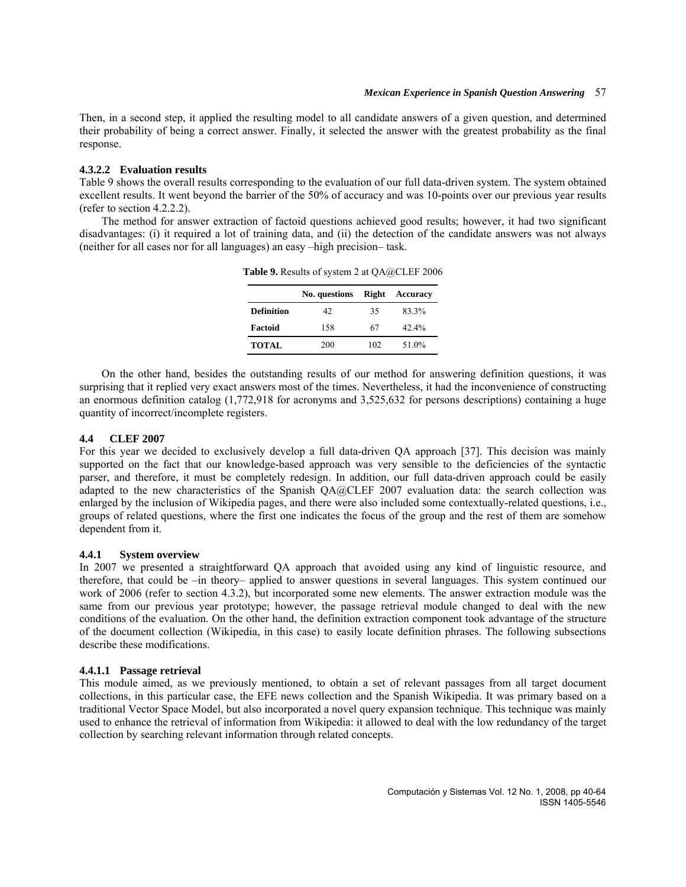Then, in a second step, it applied the resulting model to all candidate answers of a given question, and determined their probability of being a correct answer. Finally, it selected the answer with the greatest probability as the final response.

### **4.3.2.2 Evaluation results**

Table 9 shows the overall results corresponding to the evaluation of our full data-driven system. The system obtained excellent results. It went beyond the barrier of the 50% of accuracy and was 10-points over our previous year results (refer to section 4.2.2.2).

The method for answer extraction of factoid questions achieved good results; however, it had two significant disadvantages: (i) it required a lot of training data, and (ii) the detection of the candidate answers was not always (neither for all cases nor for all languages) an easy –high precision– task.

|                   | No. questions | Right | Accuracy |
|-------------------|---------------|-------|----------|
| <b>Definition</b> | 42            | 35    | 83.3%    |
| Factoid           | 158           | 67    | 42.4%    |
| <b>TOTAL</b>      | 200           | 102   | 51.0%    |

**Table 9.** Results of system 2 at QA@CLEF 2006

On the other hand, besides the outstanding results of our method for answering definition questions, it was surprising that it replied very exact answers most of the times. Nevertheless, it had the inconvenience of constructing an enormous definition catalog (1,772,918 for acronyms and 3,525,632 for persons descriptions) containing a huge quantity of incorrect/incomplete registers.

### **4.4 CLEF 2007**

For this year we decided to exclusively develop a full data-driven QA approach [37]. This decision was mainly supported on the fact that our knowledge-based approach was very sensible to the deficiencies of the syntactic parser, and therefore, it must be completely redesign. In addition, our full data-driven approach could be easily adapted to the new characteristics of the Spanish QA@CLEF 2007 evaluation data: the search collection was enlarged by the inclusion of Wikipedia pages, and there were also included some contextually-related questions, i.e., groups of related questions, where the first one indicates the focus of the group and the rest of them are somehow dependent from it.

### **4.4.1 System overview**

In 2007 we presented a straightforward QA approach that avoided using any kind of linguistic resource, and therefore, that could be –in theory– applied to answer questions in several languages. This system continued our work of 2006 (refer to section 4.3.2), but incorporated some new elements. The answer extraction module was the same from our previous year prototype; however, the passage retrieval module changed to deal with the new conditions of the evaluation. On the other hand, the definition extraction component took advantage of the structure of the document collection (Wikipedia, in this case) to easily locate definition phrases. The following subsections describe these modifications.

### **4.4.1.1 Passage retrieval**

This module aimed, as we previously mentioned, to obtain a set of relevant passages from all target document collections, in this particular case, the EFE news collection and the Spanish Wikipedia. It was primary based on a traditional Vector Space Model, but also incorporated a novel query expansion technique. This technique was mainly used to enhance the retrieval of information from Wikipedia: it allowed to deal with the low redundancy of the target collection by searching relevant information through related concepts.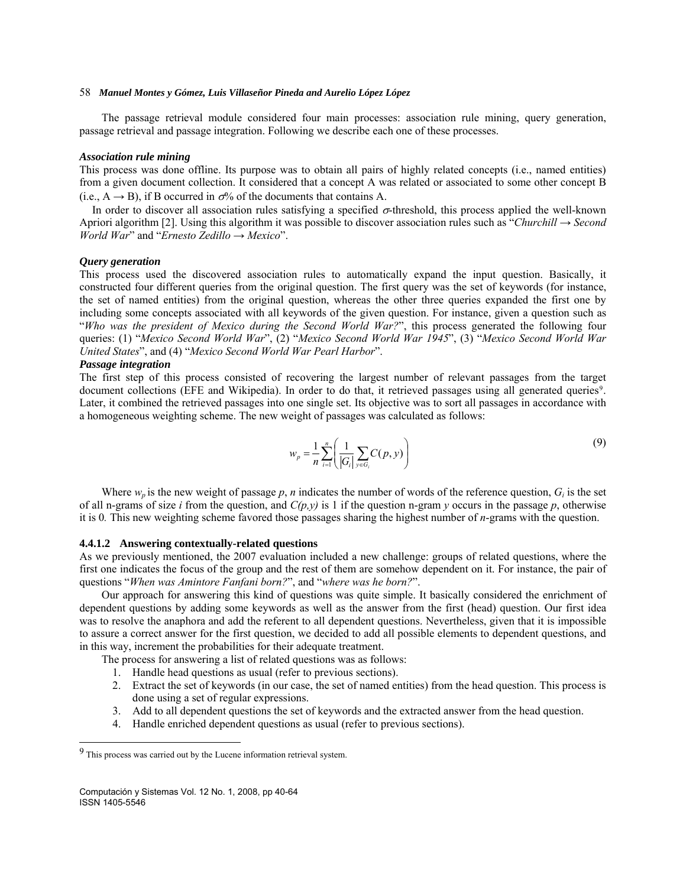The passage retrieval module considered four main processes: association rule mining, query generation, passage retrieval and passage integration. Following we describe each one of these processes.

#### *Association rule mining*

This process was done offline. Its purpose was to obtain all pairs of highly related concepts (i.e., named entities) from a given document collection. It considered that a concept A was related or associated to some other concept B (i.e.,  $A \rightarrow B$ ), if B occurred in  $\sigma$ % of the documents that contains A.

In order to discover all association rules satisfying a specified σ-threshold, this process applied the well-known Apriori algorithm [2]. Using this algorithm it was possible to discover association rules such as "*Churchill* → *Second World War*" and "*Ernesto Zedillo* → *Mexico*".

#### *Query generation*

This process used the discovered association rules to automatically expand the input question. Basically, it constructed four different queries from the original question. The first query was the set of keywords (for instance, the set of named entities) from the original question, whereas the other three queries expanded the first one by including some concepts associated with all keywords of the given question. For instance, given a question such as "*Who was the president of Mexico during the Second World War?*", this process generated the following four queries: (1) "*Mexico Second World War*", (2) "*Mexico Second World War 1945*", (3) "*Mexico Second World War United States*", and (4) "*Mexico Second World War Pearl Harbor*".

# *Passage integration*

The first step of this process consisted of recovering the largest number of relevant passages from the target document collections (EFE and Wikipedia). In order to do that, it retrieved passages using all generated queries<sup>[9](#page-18-0)</sup>. Later, it combined the retrieved passages into one single set. Its objective was to sort all passages in accordance with a homogeneous weighting scheme. The new weight of passages was calculated as follows:

$$
w_p = \frac{1}{n} \sum_{i=1}^n \left( \frac{1}{|G_i|} \sum_{y \in G_i} C(p, y) \right)
$$
 (9)

Where  $w_p$  is the new weight of passage  $p$ , *n* indicates the number of words of the reference question,  $G_i$  is the set of all n-grams of size *i* from the question, and  $C(p,y)$  is 1 if the question n-gram  $y$  occurs in the passage  $p$ , otherwise it is 0*.* This new weighting scheme favored those passages sharing the highest number of *n*-grams with the question.

### **4.4.1.2 Answering contextually-related questions**

As we previously mentioned, the 2007 evaluation included a new challenge: groups of related questions, where the first one indicates the focus of the group and the rest of them are somehow dependent on it. For instance, the pair of questions "*When was Amintore Fanfani born?*", and "*where was he born?*".

Our approach for answering this kind of questions was quite simple. It basically considered the enrichment of dependent questions by adding some keywords as well as the answer from the first (head) question. Our first idea was to resolve the anaphora and add the referent to all dependent questions. Nevertheless, given that it is impossible to assure a correct answer for the first question, we decided to add all possible elements to dependent questions, and in this way, increment the probabilities for their adequate treatment.

The process for answering a list of related questions was as follows:

- 1. Handle head questions as usual (refer to previous sections).
- 2. Extract the set of keywords (in our case, the set of named entities) from the head question. This process is done using a set of regular expressions.
- 3. Add to all dependent questions the set of keywords and the extracted answer from the head question.
- 4. Handle enriched dependent questions as usual (refer to previous sections).

 $\overline{\phantom{a}}$ 

<span id="page-18-0"></span><sup>9</sup> This process was carried out by the Lucene information retrieval system.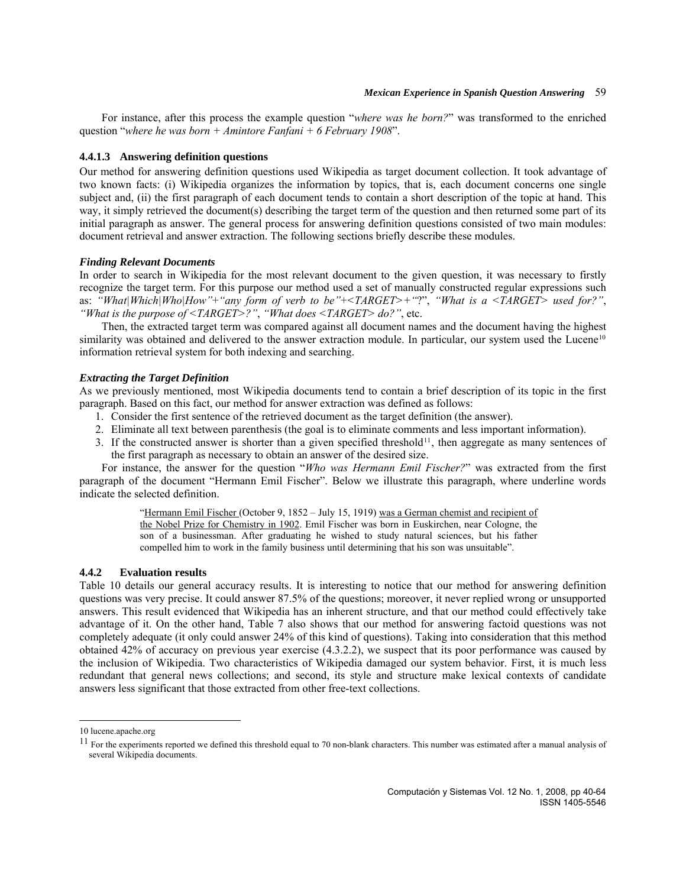For instance, after this process the example question "*where was he born?*" was transformed to the enriched question "*where he was born + Amintore Fanfani + 6 February 1908*".

### **4.4.1.3 Answering definition questions**

Our method for answering definition questions used Wikipedia as target document collection. It took advantage of two known facts: (i) Wikipedia organizes the information by topics, that is, each document concerns one single subject and, (ii) the first paragraph of each document tends to contain a short description of the topic at hand. This way, it simply retrieved the document(s) describing the target term of the question and then returned some part of its initial paragraph as answer. The general process for answering definition questions consisted of two main modules: document retrieval and answer extraction. The following sections briefly describe these modules.

#### *Finding Relevant Documents*

In order to search in Wikipedia for the most relevant document to the given question, it was necessary to firstly recognize the target term. For this purpose our method used a set of manually constructed regular expressions such as: *"What|Which|Who|How"*+*"any form of verb to be"*+*<TARGET>+"*?", *"What is a <TARGET> used for?"*, *"What is the purpose of <TARGET>?"*, *"What does <TARGET> do?"*, etc.

Then, the extracted target term was compared against all document names and the document having the highest similarity was obtained and delivered to the answer extraction module. In particular, our system used the Lucene<sup>[10](#page-19-0)</sup> information retrieval system for both indexing and searching.

### *Extracting the Target Definition*

As we previously mentioned, most Wikipedia documents tend to contain a brief description of its topic in the first paragraph. Based on this fact, our method for answer extraction was defined as follows:

- 1. Consider the first sentence of the retrieved document as the target definition (the answer).
- 2. Eliminate all text between parenthesis (the goal is to eliminate comments and less important information).
- the first paragraph as necessary to obtain an answer of the desired size. 3. If the constructed answer is shorter than a given specified threshold<sup>[11](#page-19-1)</sup>, then aggregate as many sentences of

For instance, the answer for the question "*Who was Hermann Emil Fischer?*" was extracted from the first paragraph of the document "Hermann Emil Fischer". Below we illustrate this paragraph, where underline words indicate the selected definition.

> "Hermann Emil Fischer (October 9, 1852 – July 15, 1919) was a German chemist and recipient of the Nobel Prize for Chemistry in 1902. Emil Fischer was born in Euskirchen, near Cologne, the son of a businessman. After graduating he wished to study natural sciences, but his father compelled him to work in the family business until determining that his son was unsuitable".

### **4.4.2 Evaluation results**

Table 10 details our general accuracy results. It is interesting to notice that our method for answering definition questions was very precise. It could answer 87.5% of the questions; moreover, it never replied wrong or unsupported answers. This result evidenced that Wikipedia has an inherent structure, and that our method could effectively take advantage of it. On the other hand, Table 7 also shows that our method for answering factoid questions was not completely adequate (it only could answer 24% of this kind of questions). Taking into consideration that this method obtained 42% of accuracy on previous year exercise (4.3.2.2), we suspect that its poor performance was caused by the inclusion of Wikipedia. Two characteristics of Wikipedia damaged our system behavior. First, it is much less redundant that general news collections; and second, its style and structure make lexical contexts of candidate answers less significant that those extracted from other free-text collections.

 $\overline{\phantom{a}}$ 

<span id="page-19-0"></span><sup>10</sup> lucene.apache.org

<span id="page-19-1"></span> $11$  For the experiments reported we defined this threshold equal to 70 non-blank characters. This number was estimated after a manual analysis of several Wikipedia documents.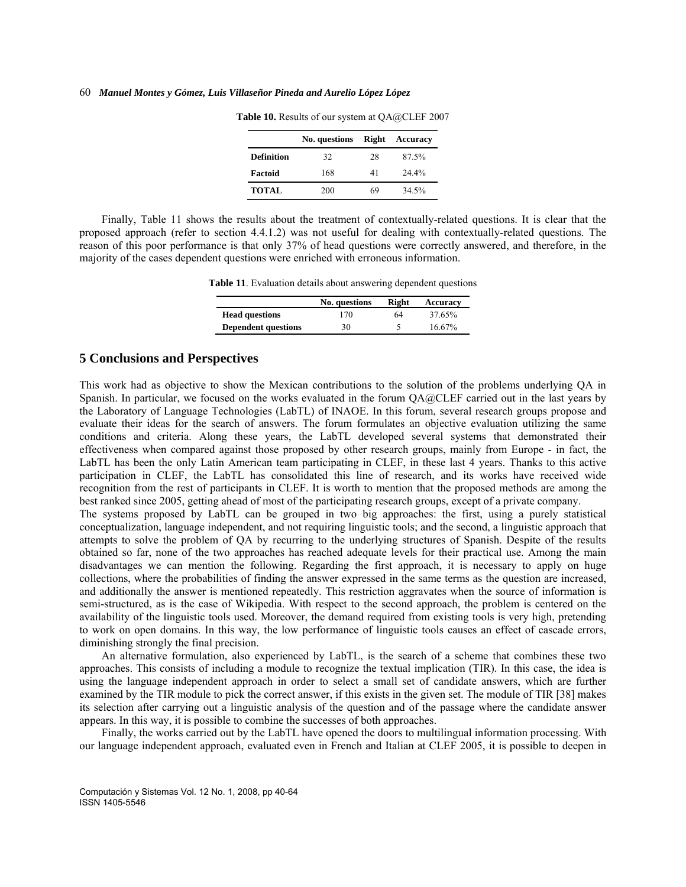|                   | No. questions | Right | Accuracy |
|-------------------|---------------|-------|----------|
| <b>Definition</b> | 32            | 28    | 87.5%    |
| Factoid           | 168           | 41    | 24.4%    |
| <b>TOTAL</b>      | 200           | 69    | 34.5%    |

**Table 10.** Results of our system at QA@CLEF 2007

Finally, Table 11 shows the results about the treatment of contextually-related questions. It is clear that the proposed approach (refer to section 4.4.1.2) was not useful for dealing with contextually-related questions. The reason of this poor performance is that only 37% of head questions were correctly answered, and therefore, in the majority of the cases dependent questions were enriched with erroneous information.

**Table 11**. Evaluation details about answering dependent questions

|                            | No. questions | Right | Accuracy  |
|----------------------------|---------------|-------|-----------|
| <b>Head questions</b>      | 170           | 64    | 37.65%    |
| <b>Dependent questions</b> | 30            |       | $16.67\%$ |

## **5 Conclusions and Perspectives**

This work had as objective to show the Mexican contributions to the solution of the problems underlying QA in Spanish. In particular, we focused on the works evaluated in the forum QA@CLEF carried out in the last years by the Laboratory of Language Technologies (LabTL) of INAOE. In this forum, several research groups propose and evaluate their ideas for the search of answers. The forum formulates an objective evaluation utilizing the same conditions and criteria. Along these years, the LabTL developed several systems that demonstrated their effectiveness when compared against those proposed by other research groups, mainly from Europe - in fact, the LabTL has been the only Latin American team participating in CLEF, in these last 4 years. Thanks to this active participation in CLEF, the LabTL has consolidated this line of research, and its works have received wide recognition from the rest of participants in CLEF. It is worth to mention that the proposed methods are among the best ranked since 2005, getting ahead of most of the participating research groups, except of a private company.

The systems proposed by LabTL can be grouped in two big approaches: the first, using a purely statistical conceptualization, language independent, and not requiring linguistic tools; and the second, a linguistic approach that attempts to solve the problem of QA by recurring to the underlying structures of Spanish. Despite of the results obtained so far, none of the two approaches has reached adequate levels for their practical use. Among the main disadvantages we can mention the following. Regarding the first approach, it is necessary to apply on huge collections, where the probabilities of finding the answer expressed in the same terms as the question are increased, and additionally the answer is mentioned repeatedly. This restriction aggravates when the source of information is semi-structured, as is the case of Wikipedia. With respect to the second approach, the problem is centered on the availability of the linguistic tools used. Moreover, the demand required from existing tools is very high, pretending to work on open domains. In this way, the low performance of linguistic tools causes an effect of cascade errors, diminishing strongly the final precision.

An alternative formulation, also experienced by LabTL, is the search of a scheme that combines these two approaches. This consists of including a module to recognize the textual implication (TIR). In this case, the idea is using the language independent approach in order to select a small set of candidate answers, which are further examined by the TIR module to pick the correct answer, if this exists in the given set. The module of TIR [38] makes its selection after carrying out a linguistic analysis of the question and of the passage where the candidate answer appears. In this way, it is possible to combine the successes of both approaches.

Finally, the works carried out by the LabTL have opened the doors to multilingual information processing. With our language independent approach, evaluated even in French and Italian at CLEF 2005, it is possible to deepen in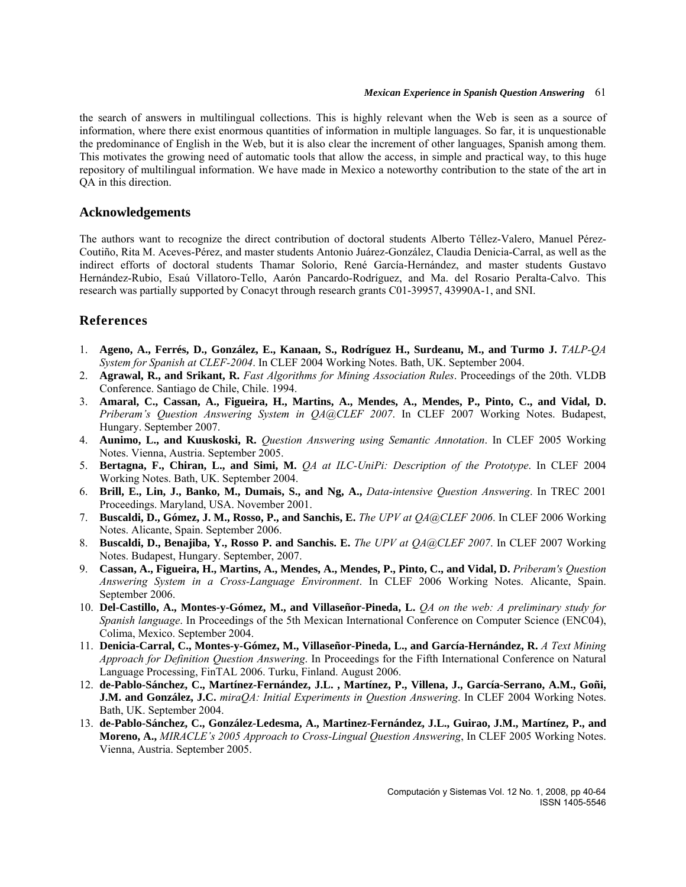the search of answers in multilingual collections. This is highly relevant when the Web is seen as a source of information, where there exist enormous quantities of information in multiple languages. So far, it is unquestionable the predominance of English in the Web, but it is also clear the increment of other languages, Spanish among them. This motivates the growing need of automatic tools that allow the access, in simple and practical way, to this huge repository of multilingual information. We have made in Mexico a noteworthy contribution to the state of the art in QA in this direction.

# **Acknowledgements**

The authors want to recognize the direct contribution of doctoral students Alberto Téllez-Valero, Manuel Pérez-Coutiño, Rita M. Aceves-Pérez, and master students Antonio Juárez-González, Claudia Denicia-Carral, as well as the indirect efforts of doctoral students Thamar Solorio, René García-Hernández, and master students Gustavo Hernández-Rubio, Esaú Villatoro-Tello, Aarón Pancardo-Rodríguez, and Ma. del Rosario Peralta-Calvo. This research was partially supported by Conacyt through research grants C01-39957, 43990A-1, and SNI.

# **3References**

- 1. **Ageno, A., Ferrés, D., González, E., Kanaan, S., Rodríguez H., Surdeanu, M., and Turmo J.** *[TALP-QA](http://www.clef-campaign.org/2004/working_notes/WorkingNotes2004/51.pdf)  [System for Spanish at CLEF-2004](http://www.clef-campaign.org/2004/working_notes/WorkingNotes2004/51.pdf)*. In CLEF 2004 Working Notes. Bath, UK. September 2004.
- 2. **Agrawal, R., and Srikant, R.** *Fast Algorithms for Mining Association Rules*. Proceedings of the 20th. VLDB Conference. Santiago de Chile, Chile. 1994.
- 3. **Amaral, C., Cassan, A., Figueira, H., Martins, A., Mendes, A., Mendes, P., Pinto, C., and Vidal, D.** *Priberam's Question Answering System in QA@CLEF 2007*. In CLEF 2007 Working Notes. Budapest, Hungary. September 2007.
- 4. **Aunimo, L., and Kuuskoski, R.** *Question Answering using Semantic Annotation*. In CLEF 2005 Working Notes. Vienna, Austria. September 2005.
- 5. **Bertagna, F., Chiran, L., and Simi, M.** *QA at ILC-UniPi: Description of the Prototype*. In CLEF 2004 Working Notes. Bath, UK. September 2004.
- 6. **Brill, E., Lin, J., Banko, M., Dumais, S., and Ng, A.,** *[Data-intensive Question Answering](http://research.microsoft.com/%7Esdumais/Trec2001Notebook.Feb2002Final.pdf)*. In TREC 2001 Proceedings. Maryland, USA. November 2001.
- 7. **Buscaldi, D., Gómez, J. M., Rosso, P., and Sanchis, E.** *The UPV at QA@CLEF 2006*. In CLEF 2006 Working Notes. Alicante, Spain. September 2006.
- 8. **Buscaldi, D., Benajiba, Y., Rosso P. and Sanchis. E.** *The UPV at QA@CLEF 2007*. In CLEF 2007 Working Notes. Budapest, Hungary. September, 2007.
- 9. **Cassan, A., Figueira, H., Martins, A., Mendes, A., Mendes, P., Pinto, C., and Vidal, D.** *Priberam's Question Answering System in a Cross-Language Environment*. In CLEF 2006 Working Notes. Alicante, Spain. September 2006.
- 10. **Del-Castillo, A., Montes-y-Gómez, M., and Villaseñor-Pineda, L.** *QA on the web: A preliminary study for Spanish language*. In Proceedings of the 5th Mexican International Conference on Computer Science (ENC04), Colima, Mexico. September 2004.
- 11. **Denicia-Carral, C., Montes-y-Gómez, M., Villaseñor-Pineda, L., and García-Hernández, R.** *A Text Mining Approach for Definition Question Answering*. In Proceedings for the Fifth International Conference on Natural Language Processing, FinTAL 2006. Turku, Finland. August 2006.
- 12. **de-Pablo-Sánchez, C., Martínez-Fernández, J.L. , Martínez, P., Villena, J., García-Serrano, A.M., Goñi, J.M. and González, J.C.** *miraQA: Initial Experiments in Question Answering*. In CLEF 2004 Working Notes. Bath, UK. September 2004.
- 13. **de-Pablo-Sánchez, C., González-Ledesma, A., Martinez-Fernández, J.L., Guirao, J.M., Martínez, P., and Moreno, A.,** *MIRACLE's 2005 Approach to Cross-Lingual Question Answering*, In CLEF 2005 Working Notes. Vienna, Austria. September 2005.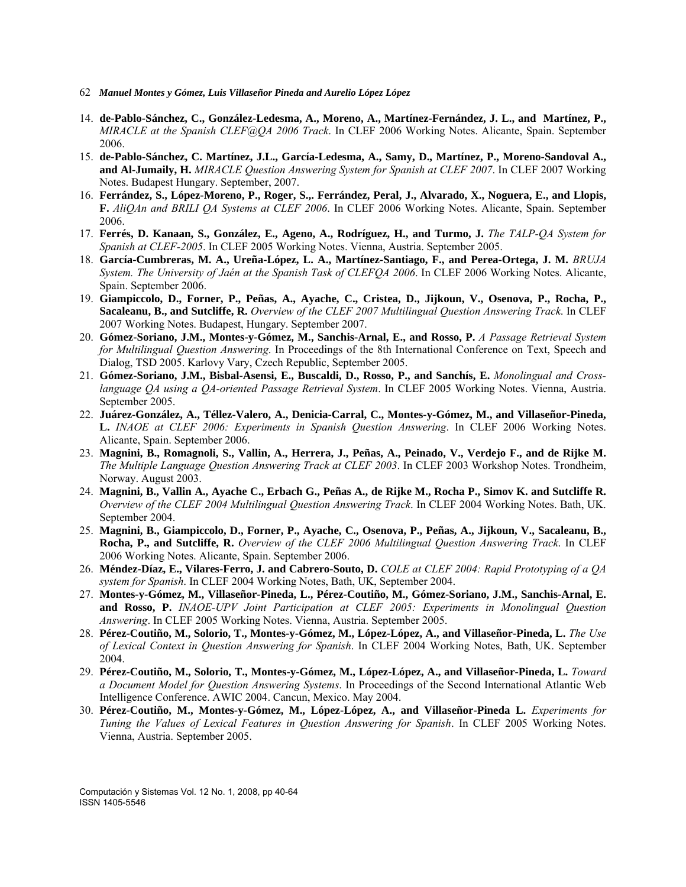- 62 *Manuel Montes y Gómez, Luis Villaseñor Pineda and Aurelio López López*
- 14. **de-Pablo-Sánchez, C., González-Ledesma, A., Moreno, A., Martínez-Fernández, J. L., and Martínez, P.,**  *MIRACLE at the Spanish CLEF@QA 2006 Track*. In CLEF 2006 Working Notes. Alicante, Spain. September 2006.
- 15. **de-Pablo-Sánchez, C. Martínez, J.L., García-Ledesma, A., Samy, D., Martínez, P., Moreno-Sandoval A., and Al-Jumaily, H.** *MIRACLE Question Answering System for Spanish at CLEF 2007*. In CLEF 2007 Working Notes. Budapest Hungary. September, 2007.
- 16. **Ferrández, S., López-Moreno, P., Roger, S.,. Ferrández, Peral, J., Alvarado, X., Noguera, E., and Llopis, F.** *AliQAn and BRILI QA Systems at CLEF 2006*. In CLEF 2006 Working Notes. Alicante, Spain. September 2006.
- 17. **Ferrés, D. Kanaan, S., González, E., Ageno, A., Rodríguez, H., and Turmo, J.** *The TALP-QA System for Spanish at CLEF-2005*. In CLEF 2005 Working Notes. Vienna, Austria. September 2005.
- 18. **García-Cumbreras, M. A., Ureña-López, L. A., Martínez-Santiago, F., and Perea-Ortega, J. M.** *BRUJA System. The University of Jaén at the Spanish Task of CLEFQA 2006*. In CLEF 2006 Working Notes. Alicante, Spain. September 2006.
- 19. **Giampiccolo, D., Forner, P., Peñas, A., Ayache, C., Cristea, D., Jijkoun, V., Osenova, P., Rocha, P., Sacaleanu, B., and Sutcliffe, R.** *[Overview of the CLEF 2007 Multilingual Question Answering Track](http://www.clef-campaign.org/2007/working_notes/giampiccoloCLEF2007_Overview.pdf)*. In CLEF 2007 Working Notes. Budapest, Hungary. September 2007.
- 20. **Gómez-Soriano, J.M., Montes-y-Gómez, M., Sanchis-Arnal, E., and Rosso, P.** *A Passage Retrieval System for Multilingual Question Answering*. In Proceedings of the 8th International Conference on Text, Speech and Dialog, TSD 2005. Karlovy Vary, Czech Republic, September 2005.
- 21. **Gómez-Soriano, J.M., Bisbal-Asensi, E., Buscaldi, D., Rosso, P., and Sanchís, E.** *Monolingual and Crosslanguage QA using a QA-oriented Passage Retrieval System*. In CLEF 2005 Working Notes. Vienna, Austria. September 2005.
- 22. **Juárez-González, A., Téllez-Valero, A., Denicia-Carral, C., Montes-y-Gómez, M., and Villaseñor-Pineda, L.** *INAOE at CLEF 2006: Experiments in Spanish Question Answering*. In CLEF 2006 Working Notes. Alicante, Spain. September 2006.
- 23. **Magnini, B., Romagnoli, S., Vallin, A., Herrera, J., Peñas, A., Peinado, V., Verdejo F., and de Rijke M.** *[The Multiple Language Question Answering Track at CLEF 2003](http://www.clef-campaign.org/2003/WN_web/36.pdf)*. In CLEF 2003 Workshop Notes. Trondheim, Norway. August 2003.
- 24. **Magnini, B., Vallin A., Ayache C., Erbach G., Peñas A., de Rijke M., Rocha P., Simov K. and Sutcliffe R.** *[Overview of the CLEF 2004 Multilingual Question Answering Track](http://www.clef-campaign.org/2004/working_notes/WorkingNotes2004/35.pdf)*. In CLEF 2004 Working Notes. Bath, UK. September 2004.
- 25. **Magnini, B., Giampiccolo, D., Forner, P., Ayache, C., Osenova, P., Peñas, A., Jijkoun, V., Sacaleanu, B., Rocha, P., and Sutcliffe, R.** *[Overview of the CLEF 2006 Multilingual Question Answering Track](http://www.clef-campaign.org/2006/working_notes/workingnotes2006/magniniOCLEF2006.pdf)*. In CLEF 2006 Working Notes. Alicante, Spain. September 2006.
- 26. **Méndez-Díaz, E., Vilares-Ferro, J. and Cabrero-Souto, D.** *COLE at CLEF 2004: Rapid Prototyping of a QA system for Spanish*. In CLEF 2004 Working Notes, Bath, UK, September 2004.
- 27. **Montes-y-Gómez, M., Villaseñor-Pineda, L., Pérez-Coutiño, M., Gómez-Soriano, J.M., Sanchis-Arnal, E. and Rosso, P.** *INAOE-UPV Joint Participation at CLEF 2005: Experiments in Monolingual Question Answering*. In CLEF 2005 Working Notes. Vienna, Austria. September 2005.
- 28. **Pérez-Coutiño, M., Solorio, T., Montes-y-Gómez, M., López-López, A., and Villaseñor-Pineda, L.** *The Use of Lexical Context in Question Answering for Spanish*. In CLEF 2004 Working Notes, Bath, UK. September 2004.
- 29. **Pérez-Coutiño, M., [Solorio](http://ccc.inaoep.mx/%7Ethamy), T., [Montes-y-Gómez,](http://ccc.inaoep.mx/%7Emmontesg) M., [López-López,](http://ccc.inaoep.mx/%7Eallopez) A., and [Villaseñor-Pineda](http://ccc.inaoep.mx/%7Evillasen), L.** *Toward a Document Model for Question Answering Systems*. In Proceedings of the Second International Atlantic Web Intelligence Conference. AWIC 2004. Cancun, Mexico. May 2004.
- 30. **Pérez-Coutiño, M., Montes-y-Gómez, M., López-López, A., and Villaseñor-Pineda L.** *Experiments for Tuning the Values of Lexical Features in Question Answering for Spanish*. In CLEF 2005 Working Notes. Vienna, Austria. September 2005.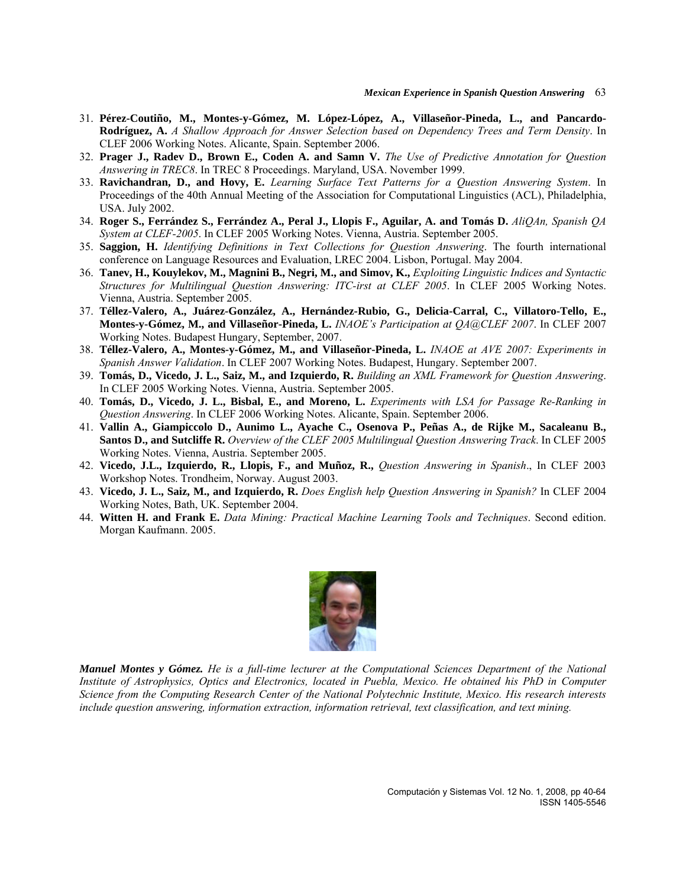- 31. **Pérez-Coutiño, M., Montes-y-Gómez, M. López-López, A., Villaseñor-Pineda, L., and Pancardo-Rodríguez, A.** *A Shallow Approach for Answer Selection based on Dependency Trees and Term Density*. In CLEF 2006 Working Notes. Alicante, Spain. September 2006.
- 32. **Prager J., Radev D., Brown E., Coden A. and Samn V.** *The Use of Predictive Annotation for Question Answering in TREC8*. In TREC 8 Proceedings. Maryland, USA. November 1999.
- 33. **Ravichandran, D., and Hovy, E.** *Learning Surface Text Patterns for a Question Answering System*. In Proceedings of the 40th Annual Meeting of the Association for Computational Linguistics (ACL), Philadelphia, USA. July 2002.
- 34. **Roger S., Ferrández S., Ferrández A., Peral J., Llopis F., Aguilar, A. and Tomás D.** *AliQAn, Spanish QA System at CLEF-2005*. In CLEF 2005 Working Notes. Vienna, Austria. September 2005.
- 35. **Saggion, H.** *Identifying Definitions in Text Collections for Question Answering*. The fourth international conference on Language Resources and Evaluation, LREC 2004. Lisbon, Portugal. May 2004.
- 36. **Tanev, H., Kouylekov, M., Magnini B., Negri, M., and Simov, K.,** *Exploiting Linguistic Indices and Syntactic Structures for Multilingual Question Answering: ITC-irst at CLEF 2005*. In CLEF 2005 Working Notes. Vienna, Austria. September 2005.
- 37. **Téllez-Valero, A., Juárez-González, A., Hernández-Rubio, G., Delicia-Carral, C., Villatoro-Tello, E., Montes-y-Gómez, M., and Villaseñor-Pineda, L.** *INAOE's Participation at QA@CLEF 2007*. In CLEF 2007 Working Notes. Budapest Hungary, September, 2007.
- 38. **Téllez-Valero, A., Montes-y-Gómez, M., and Villaseñor-Pineda, L.** *INAOE at AVE 2007: Experiments in Spanish Answer Validation*. In CLEF 2007 Working Notes. Budapest, Hungary. September 2007.
- 39. **Tomás, D., Vicedo, J. L., Saiz, M., and Izquierdo, R.** *Building an XML Framework for Question Answering*. In CLEF 2005 Working Notes. Vienna, Austria. September 2005.
- 40. **Tomás, D., Vicedo, J. L., Bisbal, E., and Moreno, L.** *Experiments with LSA for Passage Re-Ranking in Question Answering*. In CLEF 2006 Working Notes. Alicante, Spain. September 2006.
- 41. **Vallin A., Giampiccolo D., Aunimo L., Ayache C., Osenova P., Peñas A., de Rijke M., Sacaleanu B., Santos D., and Sutcliffe R.** *[Overview of the CLEF 2005 Multilingual Question Answering Track](http://www.clef-campaign.org/2005/working_notes/workingnotes2005/vallin05.pdf)*. In CLEF 2005 Working Notes. Vienna, Austria. September 2005.
- 42. **Vicedo, J.L., Izquierdo, R., Llopis, F., and Muñoz, R.,** *Question Answering in Spanish*., In CLEF 2003 Workshop Notes. Trondheim, Norway. August 2003.
- 43. **Vicedo, J. L., Saiz, M., and Izquierdo, R.** *Does English help Question Answering in Spanish?* In CLEF 2004 Working Notes, Bath, UK. September 2004.
- 44. **Witten H. and Frank E.** *Data Mining: Practical Machine Learning Tools and Techniques*. Second edition. Morgan Kaufmann. 2005.



*Manuel Montes y Gómez. He is a full-time lecturer at the Computational Sciences Department of the National Institute of Astrophysics, Optics and Electronics, located in Puebla, Mexico. He obtained his PhD in Computer Science from the Computing Research Center of the National Polytechnic Institute, Mexico. His research interests include question answering, information extraction, information retrieval, text classification, and text mining.*